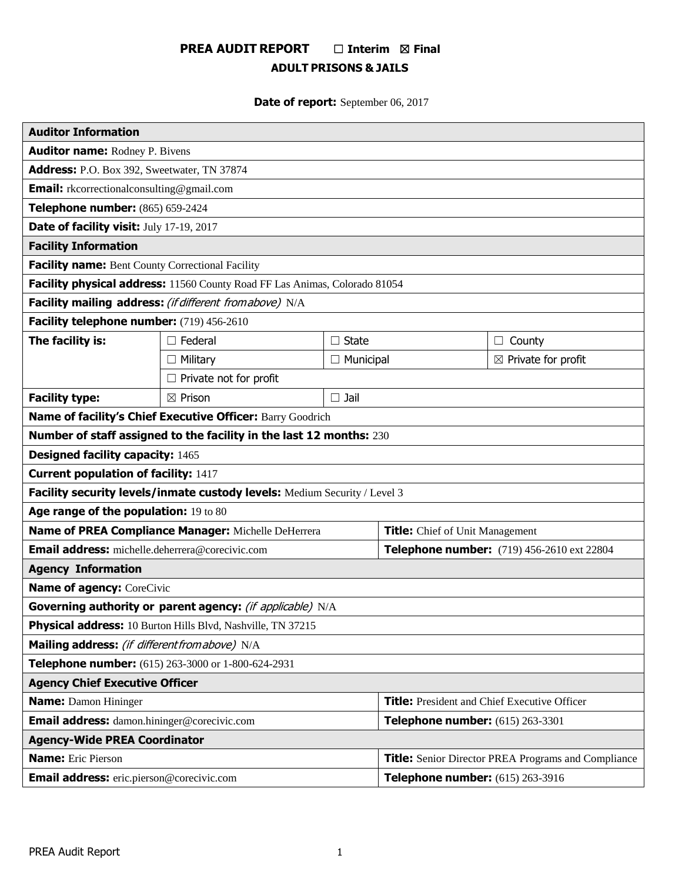# **PREA AUDIT REPORT** ☐ **Interim** ☒ **Final ADULT PRISONS & JAILS**

**Date of report:** September 06, 2017

| <b>Auditor Information</b>                                                         |                                                                            |                  |                                                            |                                |  |
|------------------------------------------------------------------------------------|----------------------------------------------------------------------------|------------------|------------------------------------------------------------|--------------------------------|--|
| <b>Auditor name: Rodney P. Bivens</b>                                              |                                                                            |                  |                                                            |                                |  |
| Address: P.O. Box 392, Sweetwater, TN 37874                                        |                                                                            |                  |                                                            |                                |  |
| <b>Email:</b> rkcorrectionalconsulting@gmail.com                                   |                                                                            |                  |                                                            |                                |  |
| Telephone number: (865) 659-2424                                                   |                                                                            |                  |                                                            |                                |  |
| Date of facility visit: July 17-19, 2017                                           |                                                                            |                  |                                                            |                                |  |
| <b>Facility Information</b>                                                        |                                                                            |                  |                                                            |                                |  |
| <b>Facility name:</b> Bent County Correctional Facility                            |                                                                            |                  |                                                            |                                |  |
|                                                                                    | Facility physical address: 11560 County Road FF Las Animas, Colorado 81054 |                  |                                                            |                                |  |
|                                                                                    | Facility mailing address: (if different fromabove) N/A                     |                  |                                                            |                                |  |
| Facility telephone number: (719) 456-2610                                          |                                                                            |                  |                                                            |                                |  |
| The facility is:                                                                   | $\Box$ Federal                                                             | $\Box$ State     |                                                            | $\Box$ County                  |  |
|                                                                                    | $\Box$ Military                                                            | $\Box$ Municipal |                                                            | $\boxtimes$ Private for profit |  |
|                                                                                    | $\Box$ Private not for profit                                              |                  |                                                            |                                |  |
| <b>Facility type:</b>                                                              | $\boxtimes$ Prison                                                         | $\square$ Jail   |                                                            |                                |  |
|                                                                                    | Name of facility's Chief Executive Officer: Barry Goodrich                 |                  |                                                            |                                |  |
|                                                                                    | Number of staff assigned to the facility in the last 12 months: 230        |                  |                                                            |                                |  |
| <b>Designed facility capacity: 1465</b>                                            |                                                                            |                  |                                                            |                                |  |
| <b>Current population of facility: 1417</b>                                        |                                                                            |                  |                                                            |                                |  |
|                                                                                    | Facility security levels/inmate custody levels: Medium Security / Level 3  |                  |                                                            |                                |  |
| Age range of the population: 19 to 80                                              |                                                                            |                  |                                                            |                                |  |
| Name of PREA Compliance Manager: Michelle DeHerrera                                |                                                                            |                  | <b>Title:</b> Chief of Unit Management                     |                                |  |
| Email address: michelle.deherrera@corecivic.com                                    |                                                                            |                  | Telephone number: (719) 456-2610 ext 22804                 |                                |  |
| <b>Agency Information</b>                                                          |                                                                            |                  |                                                            |                                |  |
| <b>Name of agency: CoreCivic</b>                                                   |                                                                            |                  |                                                            |                                |  |
|                                                                                    | Governing authority or parent agency: (if applicable) N/A                  |                  |                                                            |                                |  |
| Physical address: 10 Burton Hills Blvd, Nashville, TN 37215                        |                                                                            |                  |                                                            |                                |  |
| Mailing address: (if different from above) N/A                                     |                                                                            |                  |                                                            |                                |  |
| Telephone number: (615) 263-3000 or 1-800-624-2931                                 |                                                                            |                  |                                                            |                                |  |
| <b>Agency Chief Executive Officer</b>                                              |                                                                            |                  |                                                            |                                |  |
| <b>Name:</b> Damon Hininger<br><b>Title:</b> President and Chief Executive Officer |                                                                            |                  |                                                            |                                |  |
| Email address: damon.hininger@corecivic.com                                        |                                                                            |                  | Telephone number: (615) 263-3301                           |                                |  |
| <b>Agency-Wide PREA Coordinator</b>                                                |                                                                            |                  |                                                            |                                |  |
| <b>Name:</b> Eric Pierson                                                          |                                                                            |                  | <b>Title:</b> Senior Director PREA Programs and Compliance |                                |  |
| <b>Email address:</b> eric.pierson@corecivic.com                                   |                                                                            |                  | Telephone number: (615) 263-3916                           |                                |  |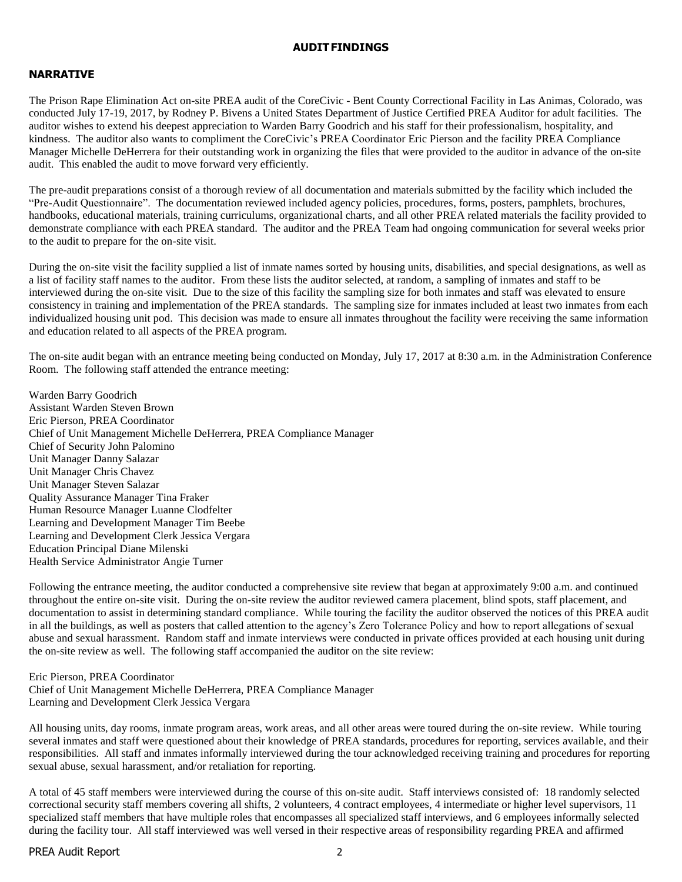#### **AUDITFINDINGS**

# **NARRATIVE**

The Prison Rape Elimination Act on-site PREA audit of the CoreCivic - Bent County Correctional Facility in Las Animas, Colorado, was conducted July 17-19, 2017, by Rodney P. Bivens a United States Department of Justice Certified PREA Auditor for adult facilities. The auditor wishes to extend his deepest appreciation to Warden Barry Goodrich and his staff for their professionalism, hospitality, and kindness. The auditor also wants to compliment the CoreCivic's PREA Coordinator Eric Pierson and the facility PREA Compliance Manager Michelle DeHerrera for their outstanding work in organizing the files that were provided to the auditor in advance of the on-site audit. This enabled the audit to move forward very efficiently.

The pre-audit preparations consist of a thorough review of all documentation and materials submitted by the facility which included the "Pre-Audit Questionnaire". The documentation reviewed included agency policies, procedures, forms, posters, pamphlets, brochures, handbooks, educational materials, training curriculums, organizational charts, and all other PREA related materials the facility provided to demonstrate compliance with each PREA standard. The auditor and the PREA Team had ongoing communication for several weeks prior to the audit to prepare for the on-site visit.

During the on-site visit the facility supplied a list of inmate names sorted by housing units, disabilities, and special designations, as well as a list of facility staff names to the auditor. From these lists the auditor selected, at random, a sampling of inmates and staff to be interviewed during the on-site visit. Due to the size of this facility the sampling size for both inmates and staff was elevated to ensure consistency in training and implementation of the PREA standards. The sampling size for inmates included at least two inmates from each individualized housing unit pod. This decision was made to ensure all inmates throughout the facility were receiving the same information and education related to all aspects of the PREA program.

The on-site audit began with an entrance meeting being conducted on Monday, July 17, 2017 at 8:30 a.m. in the Administration Conference Room. The following staff attended the entrance meeting:

Warden Barry Goodrich Assistant Warden Steven Brown Eric Pierson, PREA Coordinator Chief of Unit Management Michelle DeHerrera, PREA Compliance Manager Chief of Security John Palomino Unit Manager Danny Salazar Unit Manager Chris Chavez Unit Manager Steven Salazar Quality Assurance Manager Tina Fraker Human Resource Manager Luanne Clodfelter Learning and Development Manager Tim Beebe Learning and Development Clerk Jessica Vergara Education Principal Diane Milenski Health Service Administrator Angie Turner

Following the entrance meeting, the auditor conducted a comprehensive site review that began at approximately 9:00 a.m. and continued throughout the entire on-site visit. During the on-site review the auditor reviewed camera placement, blind spots, staff placement, and documentation to assist in determining standard compliance. While touring the facility the auditor observed the notices of this PREA audit in all the buildings, as well as posters that called attention to the agency's Zero Tolerance Policy and how to report allegations of sexual abuse and sexual harassment. Random staff and inmate interviews were conducted in private offices provided at each housing unit during the on-site review as well. The following staff accompanied the auditor on the site review:

Eric Pierson, PREA Coordinator Chief of Unit Management Michelle DeHerrera, PREA Compliance Manager Learning and Development Clerk Jessica Vergara

All housing units, day rooms, inmate program areas, work areas, and all other areas were toured during the on-site review. While touring several inmates and staff were questioned about their knowledge of PREA standards, procedures for reporting, services available, and their responsibilities. All staff and inmates informally interviewed during the tour acknowledged receiving training and procedures for reporting sexual abuse, sexual harassment, and/or retaliation for reporting.

A total of 45 staff members were interviewed during the course of this on-site audit. Staff interviews consisted of: 18 randomly selected correctional security staff members covering all shifts, 2 volunteers, 4 contract employees, 4 intermediate or higher level supervisors, 11 specialized staff members that have multiple roles that encompasses all specialized staff interviews, and 6 employees informally selected during the facility tour. All staff interviewed was well versed in their respective areas of responsibility regarding PREA and affirmed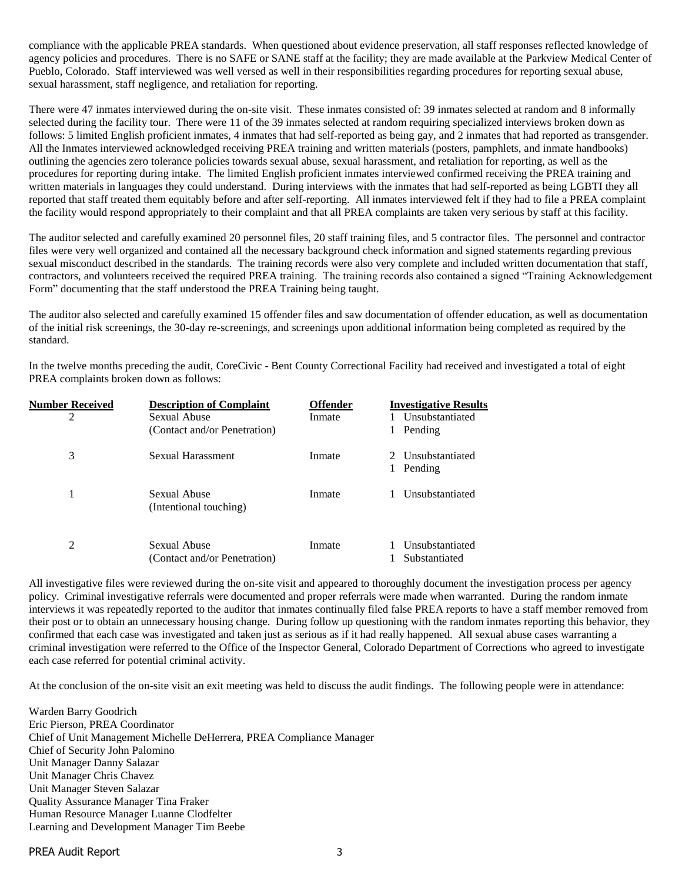compliance with the applicable PREA standards. When questioned about evidence preservation, all staff responses reflected knowledge of agency policies and procedures. There is no SAFE or SANE staff at the facility; they are made available at the Parkview Medical Center of Pueblo, Colorado. Staff interviewed was well versed as well in their responsibilities regarding procedures for reporting sexual abuse, sexual harassment, staff negligence, and retaliation for reporting.

There were 47 inmates interviewed during the on-site visit. These inmates consisted of: 39 inmates selected at random and 8 informally selected during the facility tour. There were 11 of the 39 inmates selected at random requiring specialized interviews broken down as follows: 5 limited English proficient inmates, 4 inmates that had self-reported as being gay, and 2 inmates that had reported as transgender. All the Inmates interviewed acknowledged receiving PREA training and written materials (posters, pamphlets, and inmate handbooks) outlining the agencies zero tolerance policies towards sexual abuse, sexual harassment, and retaliation for reporting, as well as the procedures for reporting during intake. The limited English proficient inmates interviewed confirmed receiving the PREA training and written materials in languages they could understand. During interviews with the inmates that had self-reported as being LGBTI they all reported that staff treated them equitably before and after self-reporting. All inmates interviewed felt if they had to file a PREA complaint the facility would respond appropriately to their complaint and that all PREA complaints are taken very serious by staff at this facility.

The auditor selected and carefully examined 20 personnel files, 20 staff training files, and 5 contractor files. The personnel and contractor files were very well organized and contained all the necessary background check information and signed statements regarding previous sexual misconduct described in the standards. The training records were also very complete and included written documentation that staff, contractors, and volunteers received the required PREA training. The training records also contained a signed "Training Acknowledgement Form" documenting that the staff understood the PREA Training being taught.

The auditor also selected and carefully examined 15 offender files and saw documentation of offender education, as well as documentation of the initial risk screenings, the 30-day re-screenings, and screenings upon additional information being completed as required by the standard.

In the twelve months preceding the audit, CoreCivic - Bent County Correctional Facility had received and investigated a total of eight PREA complaints broken down as follows:

| <b>Number Received</b> | <b>Description of Complaint</b>              | <b>Offender</b> | <b>Investigative Results</b>     |
|------------------------|----------------------------------------------|-----------------|----------------------------------|
| 2                      | Sexual Abuse<br>(Contact and/or Penetration) | Inmate          | Unsubstantiated<br>Pending       |
| 3                      | Sexual Harassment                            | Inmate          | 2. Unsubstantiated<br>Pending    |
| 1                      | Sexual Abuse<br>(Intentional touching)       | Inmate          | Unsubstantiated                  |
| 2                      | Sexual Abuse<br>(Contact and/or Penetration) | Inmate          | Unsubstantiated<br>Substantiated |

All investigative files were reviewed during the on-site visit and appeared to thoroughly document the investigation process per agency policy. Criminal investigative referrals were documented and proper referrals were made when warranted. During the random inmate interviews it was repeatedly reported to the auditor that inmates continually filed false PREA reports to have a staff member removed from their post or to obtain an unnecessary housing change. During follow up questioning with the random inmates reporting this behavior, they confirmed that each case was investigated and taken just as serious as if it had really happened. All sexual abuse cases warranting a criminal investigation were referred to the Office of the Inspector General, Colorado Department of Corrections who agreed to investigate each case referred for potential criminal activity.

At the conclusion of the on-site visit an exit meeting was held to discuss the audit findings. The following people were in attendance:

Warden Barry Goodrich Eric Pierson, PREA Coordinator Chief of Unit Management Michelle DeHerrera, PREA Compliance Manager Chief of Security John Palomino Unit Manager Danny Salazar Unit Manager Chris Chavez Unit Manager Steven Salazar Quality Assurance Manager Tina Fraker Human Resource Manager Luanne Clodfelter Learning and Development Manager Tim Beebe

PREA Audit Report 3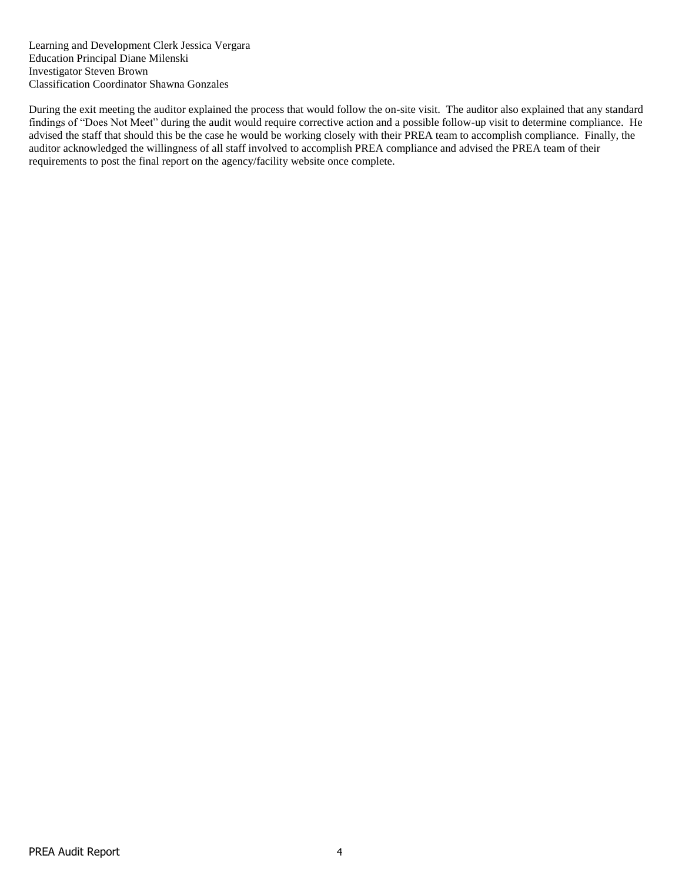Learning and Development Clerk Jessica Vergara Education Principal Diane Milenski Investigator Steven Brown Classification Coordinator Shawna Gonzales

During the exit meeting the auditor explained the process that would follow the on-site visit. The auditor also explained that any standard findings of "Does Not Meet" during the audit would require corrective action and a possible follow-up visit to determine compliance. He advised the staff that should this be the case he would be working closely with their PREA team to accomplish compliance. Finally, the auditor acknowledged the willingness of all staff involved to accomplish PREA compliance and advised the PREA team of their requirements to post the final report on the agency/facility website once complete.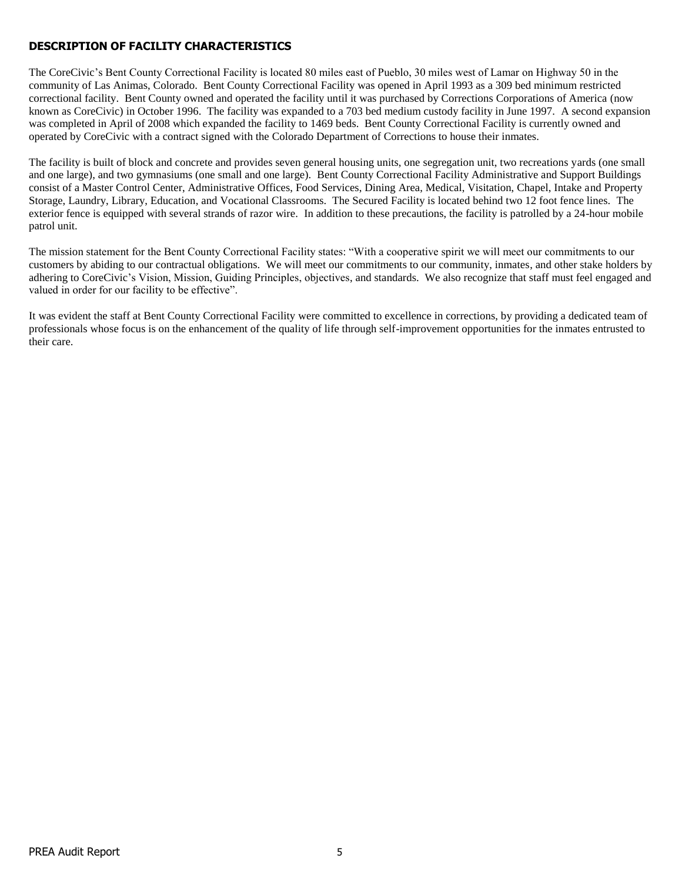# **DESCRIPTION OF FACILITY CHARACTERISTICS**

The CoreCivic's Bent County Correctional Facility is located 80 miles east of Pueblo, 30 miles west of Lamar on Highway 50 in the community of Las Animas, Colorado. Bent County Correctional Facility was opened in April 1993 as a 309 bed minimum restricted correctional facility. Bent County owned and operated the facility until it was purchased by Corrections Corporations of America (now known as CoreCivic) in October 1996. The facility was expanded to a 703 bed medium custody facility in June 1997. A second expansion was completed in April of 2008 which expanded the facility to 1469 beds. Bent County Correctional Facility is currently owned and operated by CoreCivic with a contract signed with the Colorado Department of Corrections to house their inmates.

The facility is built of block and concrete and provides seven general housing units, one segregation unit, two recreations yards (one small and one large), and two gymnasiums (one small and one large). Bent County Correctional Facility Administrative and Support Buildings consist of a Master Control Center, Administrative Offices, Food Services, Dining Area, Medical, Visitation, Chapel, Intake and Property Storage, Laundry, Library, Education, and Vocational Classrooms. The Secured Facility is located behind two 12 foot fence lines. The exterior fence is equipped with several strands of razor wire. In addition to these precautions, the facility is patrolled by a 24-hour mobile patrol unit.

The mission statement for the Bent County Correctional Facility states: "With a cooperative spirit we will meet our commitments to our customers by abiding to our contractual obligations. We will meet our commitments to our community, inmates, and other stake holders by adhering to CoreCivic's Vision, Mission, Guiding Principles, objectives, and standards. We also recognize that staff must feel engaged and valued in order for our facility to be effective".

It was evident the staff at Bent County Correctional Facility were committed to excellence in corrections, by providing a dedicated team of professionals whose focus is on the enhancement of the quality of life through self-improvement opportunities for the inmates entrusted to their care.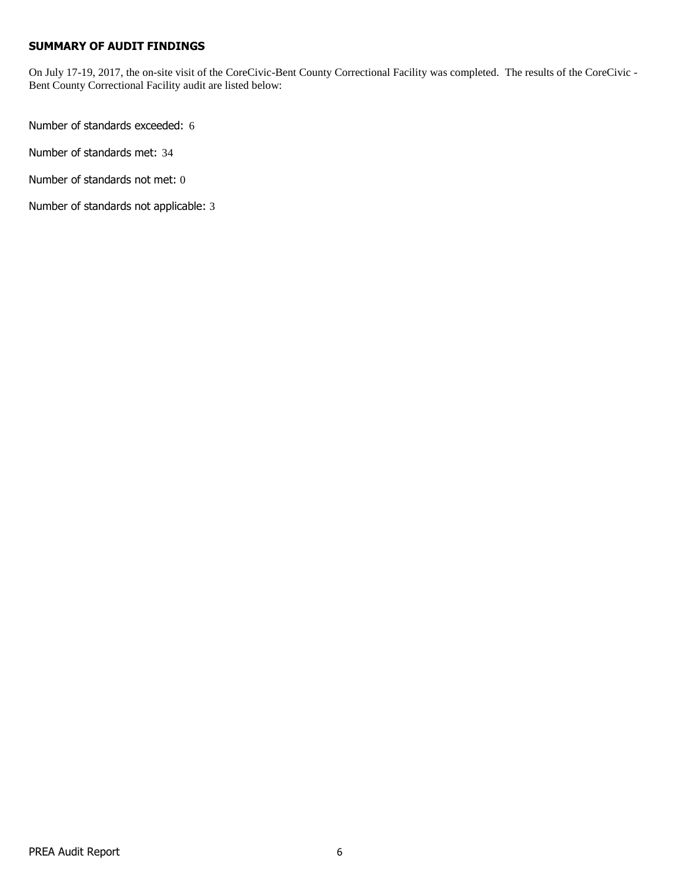# **SUMMARY OF AUDIT FINDINGS**

On July 17-19, 2017, the on-site visit of the CoreCivic-Bent County Correctional Facility was completed. The results of the CoreCivic - Bent County Correctional Facility audit are listed below:

Number of standards exceeded: 6

Number of standards met: 34

Number of standards not met: 0

Number of standards not applicable: 3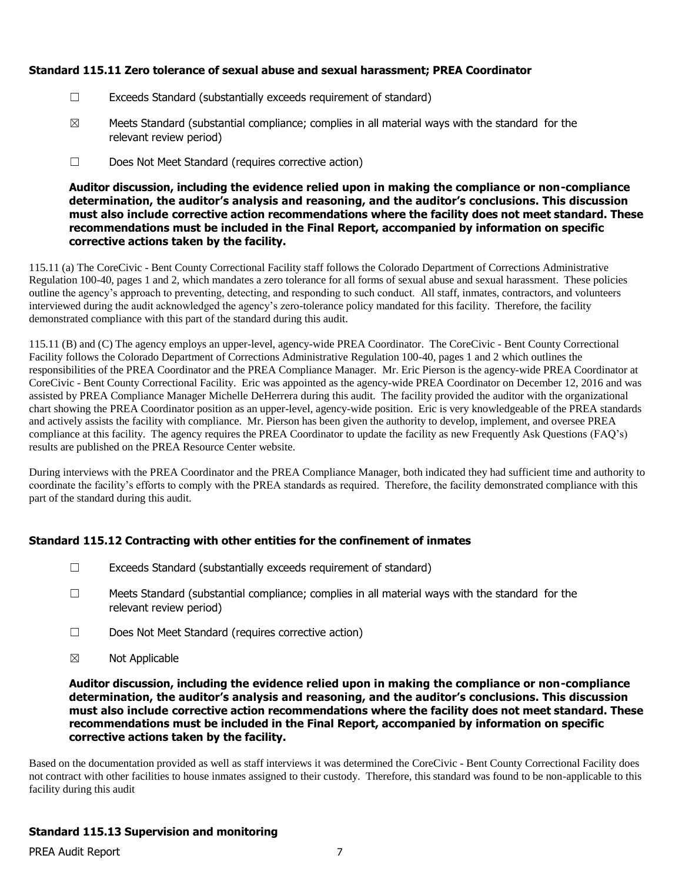# **Standard 115.11 Zero tolerance of sexual abuse and sexual harassment; PREA Coordinator**

- ☐ Exceeds Standard (substantially exceeds requirement of standard)
- $\boxtimes$  Meets Standard (substantial compliance; complies in all material ways with the standard for the relevant review period)
- ☐ Does Not Meet Standard (requires corrective action)

#### **Auditor discussion, including the evidence relied upon in making the compliance or non-compliance determination, the auditor's analysis and reasoning, and the auditor's conclusions. This discussion must also include corrective action recommendations where the facility does not meet standard. These recommendations must be included in the Final Report, accompanied by information on specific corrective actions taken by the facility.**

115.11 (a) The CoreCivic - Bent County Correctional Facility staff follows the Colorado Department of Corrections Administrative Regulation 100-40, pages 1 and 2, which mandates a zero tolerance for all forms of sexual abuse and sexual harassment. These policies outline the agency's approach to preventing, detecting, and responding to such conduct. All staff, inmates, contractors, and volunteers interviewed during the audit acknowledged the agency's zero-tolerance policy mandated for this facility. Therefore, the facility demonstrated compliance with this part of the standard during this audit.

115.11 (B) and (C) The agency employs an upper-level, agency-wide PREA Coordinator. The CoreCivic - Bent County Correctional Facility follows the Colorado Department of Corrections Administrative Regulation 100-40, pages 1 and 2 which outlines the responsibilities of the PREA Coordinator and the PREA Compliance Manager. Mr. Eric Pierson is the agency-wide PREA Coordinator at CoreCivic - Bent County Correctional Facility. Eric was appointed as the agency-wide PREA Coordinator on December 12, 2016 and was assisted by PREA Compliance Manager Michelle DeHerrera during this audit. The facility provided the auditor with the organizational chart showing the PREA Coordinator position as an upper-level, agency-wide position. Eric is very knowledgeable of the PREA standards and actively assists the facility with compliance. Mr. Pierson has been given the authority to develop, implement, and oversee PREA compliance at this facility. The agency requires the PREA Coordinator to update the facility as new Frequently Ask Questions (FAQ's) results are published on the PREA Resource Center website.

During interviews with the PREA Coordinator and the PREA Compliance Manager, both indicated they had sufficient time and authority to coordinate the facility's efforts to comply with the PREA standards as required. Therefore, the facility demonstrated compliance with this part of the standard during this audit.

# **Standard 115.12 Contracting with other entities for the confinement of inmates**

- $\Box$  Exceeds Standard (substantially exceeds requirement of standard)
- $\Box$  Meets Standard (substantial compliance; complies in all material ways with the standard for the relevant review period)
- ☐ Does Not Meet Standard (requires corrective action)
- ☒ Not Applicable

#### **Auditor discussion, including the evidence relied upon in making the compliance or non-compliance determination, the auditor's analysis and reasoning, and the auditor's conclusions. This discussion must also include corrective action recommendations where the facility does not meet standard. These recommendations must be included in the Final Report, accompanied by information on specific corrective actions taken by the facility.**

Based on the documentation provided as well as staff interviews it was determined the CoreCivic - Bent County Correctional Facility does not contract with other facilities to house inmates assigned to their custody. Therefore, this standard was found to be non-applicable to this facility during this audit

# **Standard 115.13 Supervision and monitoring**

PREA Audit Report 7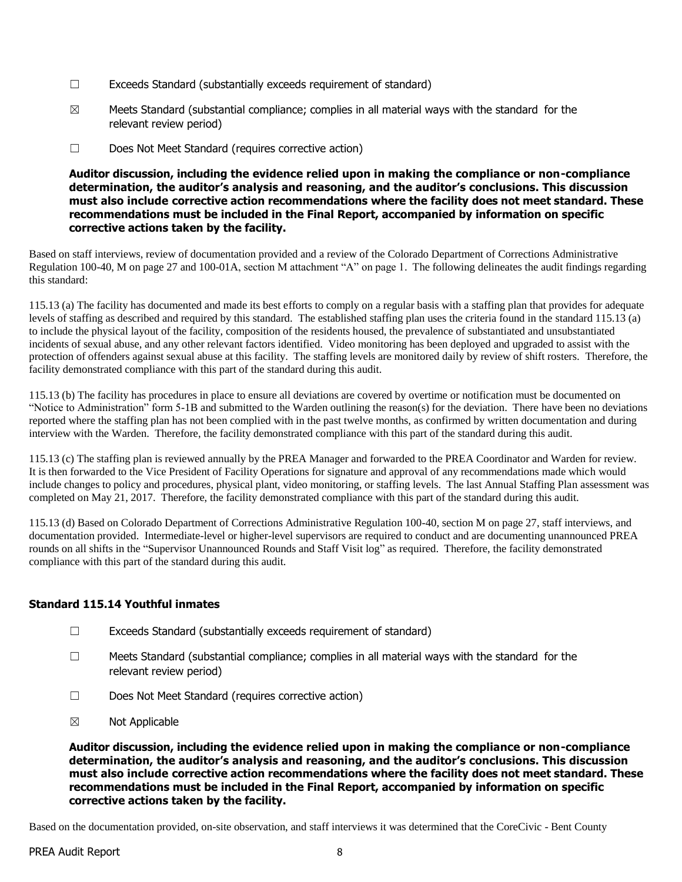- $\Box$  Exceeds Standard (substantially exceeds requirement of standard)
- $\boxtimes$  Meets Standard (substantial compliance; complies in all material ways with the standard for the relevant review period)
- ☐ Does Not Meet Standard (requires corrective action)

#### **Auditor discussion, including the evidence relied upon in making the compliance or non-compliance determination, the auditor's analysis and reasoning, and the auditor's conclusions. This discussion must also include corrective action recommendations where the facility does not meet standard. These recommendations must be included in the Final Report, accompanied by information on specific corrective actions taken by the facility.**

Based on staff interviews, review of documentation provided and a review of the Colorado Department of Corrections Administrative Regulation 100-40, M on page 27 and 100-01A, section M attachment "A" on page 1. The following delineates the audit findings regarding this standard:

115.13 (a) The facility has documented and made its best efforts to comply on a regular basis with a staffing plan that provides for adequate levels of staffing as described and required by this standard. The established staffing plan uses the criteria found in the standard 115.13 (a) to include the physical layout of the facility, composition of the residents housed, the prevalence of substantiated and unsubstantiated incidents of sexual abuse, and any other relevant factors identified. Video monitoring has been deployed and upgraded to assist with the protection of offenders against sexual abuse at this facility. The staffing levels are monitored daily by review of shift rosters. Therefore, the facility demonstrated compliance with this part of the standard during this audit.

115.13 (b) The facility has procedures in place to ensure all deviations are covered by overtime or notification must be documented on "Notice to Administration" form 5-1B and submitted to the Warden outlining the reason(s) for the deviation. There have been no deviations reported where the staffing plan has not been complied with in the past twelve months, as confirmed by written documentation and during interview with the Warden. Therefore, the facility demonstrated compliance with this part of the standard during this audit.

115.13 (c) The staffing plan is reviewed annually by the PREA Manager and forwarded to the PREA Coordinator and Warden for review. It is then forwarded to the Vice President of Facility Operations for signature and approval of any recommendations made which would include changes to policy and procedures, physical plant, video monitoring, or staffing levels. The last Annual Staffing Plan assessment was completed on May 21, 2017. Therefore, the facility demonstrated compliance with this part of the standard during this audit.

115.13 (d) Based on Colorado Department of Corrections Administrative Regulation 100-40, section M on page 27, staff interviews, and documentation provided. Intermediate-level or higher-level supervisors are required to conduct and are documenting unannounced PREA rounds on all shifts in the "Supervisor Unannounced Rounds and Staff Visit log" as required. Therefore, the facility demonstrated compliance with this part of the standard during this audit.

# **Standard 115.14 Youthful inmates**

- $\Box$  Exceeds Standard (substantially exceeds requirement of standard)
- ☐ Meets Standard (substantial compliance; complies in all material ways with the standard for the relevant review period)
- ☐ Does Not Meet Standard (requires corrective action)
- ☒ Not Applicable

**Auditor discussion, including the evidence relied upon in making the compliance or non-compliance determination, the auditor's analysis and reasoning, and the auditor's conclusions. This discussion must also include corrective action recommendations where the facility does not meet standard. These recommendations must be included in the Final Report, accompanied by information on specific corrective actions taken by the facility.**

Based on the documentation provided, on-site observation, and staff interviews it was determined that the CoreCivic - Bent County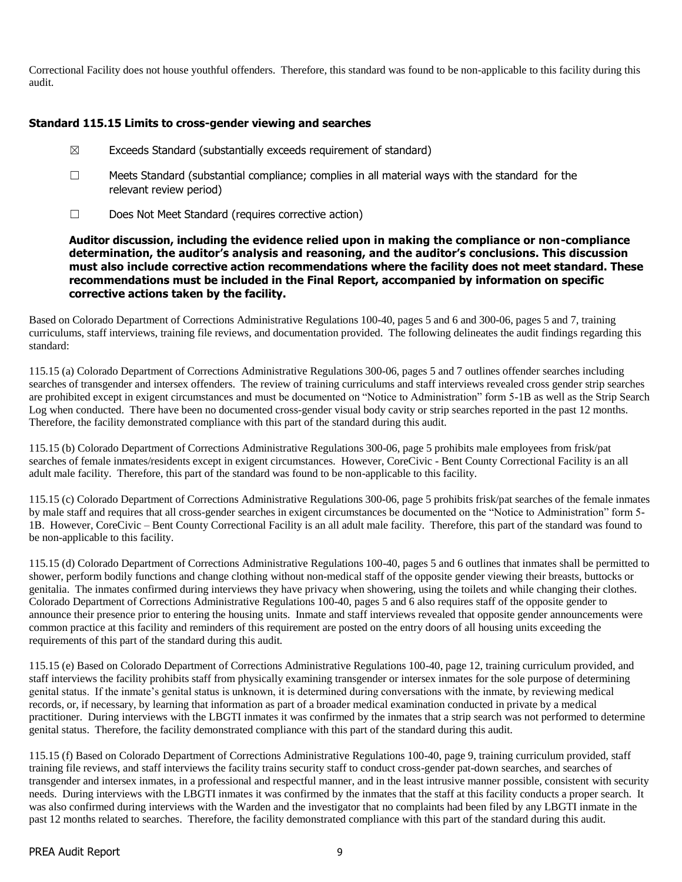Correctional Facility does not house youthful offenders. Therefore, this standard was found to be non-applicable to this facility during this audit.

# **Standard 115.15 Limits to cross-gender viewing and searches**

- $\boxtimes$  Exceeds Standard (substantially exceeds requirement of standard)
- $\Box$  Meets Standard (substantial compliance; complies in all material ways with the standard for the relevant review period)
- ☐ Does Not Meet Standard (requires corrective action)

**Auditor discussion, including the evidence relied upon in making the compliance or non-compliance determination, the auditor's analysis and reasoning, and the auditor's conclusions. This discussion must also include corrective action recommendations where the facility does not meet standard. These recommendations must be included in the Final Report, accompanied by information on specific corrective actions taken by the facility.**

Based on Colorado Department of Corrections Administrative Regulations 100-40, pages 5 and 6 and 300-06, pages 5 and 7, training curriculums, staff interviews, training file reviews, and documentation provided. The following delineates the audit findings regarding this standard:

115.15 (a) Colorado Department of Corrections Administrative Regulations 300-06, pages 5 and 7 outlines offender searches including searches of transgender and intersex offenders. The review of training curriculums and staff interviews revealed cross gender strip searches are prohibited except in exigent circumstances and must be documented on "Notice to Administration" form 5-1B as well as the Strip Search Log when conducted. There have been no documented cross-gender visual body cavity or strip searches reported in the past 12 months. Therefore, the facility demonstrated compliance with this part of the standard during this audit.

115.15 (b) Colorado Department of Corrections Administrative Regulations 300-06, page 5 prohibits male employees from frisk/pat searches of female inmates/residents except in exigent circumstances. However, CoreCivic - Bent County Correctional Facility is an all adult male facility. Therefore, this part of the standard was found to be non-applicable to this facility.

115.15 (c) Colorado Department of Corrections Administrative Regulations 300-06, page 5 prohibits frisk/pat searches of the female inmates by male staff and requires that all cross-gender searches in exigent circumstances be documented on the "Notice to Administration" form 5- 1B. However, CoreCivic – Bent County Correctional Facility is an all adult male facility. Therefore, this part of the standard was found to be non-applicable to this facility.

115.15 (d) Colorado Department of Corrections Administrative Regulations 100-40, pages 5 and 6 outlines that inmates shall be permitted to shower, perform bodily functions and change clothing without non-medical staff of the opposite gender viewing their breasts, buttocks or genitalia. The inmates confirmed during interviews they have privacy when showering, using the toilets and while changing their clothes. Colorado Department of Corrections Administrative Regulations 100-40, pages 5 and 6 also requires staff of the opposite gender to announce their presence prior to entering the housing units. Inmate and staff interviews revealed that opposite gender announcements were common practice at this facility and reminders of this requirement are posted on the entry doors of all housing units exceeding the requirements of this part of the standard during this audit.

115.15 (e) Based on Colorado Department of Corrections Administrative Regulations 100-40, page 12, training curriculum provided, and staff interviews the facility prohibits staff from physically examining transgender or intersex inmates for the sole purpose of determining genital status. If the inmate's genital status is unknown, it is determined during conversations with the inmate, by reviewing medical records, or, if necessary, by learning that information as part of a broader medical examination conducted in private by a medical practitioner. During interviews with the LBGTI inmates it was confirmed by the inmates that a strip search was not performed to determine genital status. Therefore, the facility demonstrated compliance with this part of the standard during this audit.

115.15 (f) Based on Colorado Department of Corrections Administrative Regulations 100-40, page 9, training curriculum provided, staff training file reviews, and staff interviews the facility trains security staff to conduct cross-gender pat-down searches, and searches of transgender and intersex inmates, in a professional and respectful manner, and in the least intrusive manner possible, consistent with security needs. During interviews with the LBGTI inmates it was confirmed by the inmates that the staff at this facility conducts a proper search. It was also confirmed during interviews with the Warden and the investigator that no complaints had been filed by any LBGTI inmate in the past 12 months related to searches. Therefore, the facility demonstrated compliance with this part of the standard during this audit.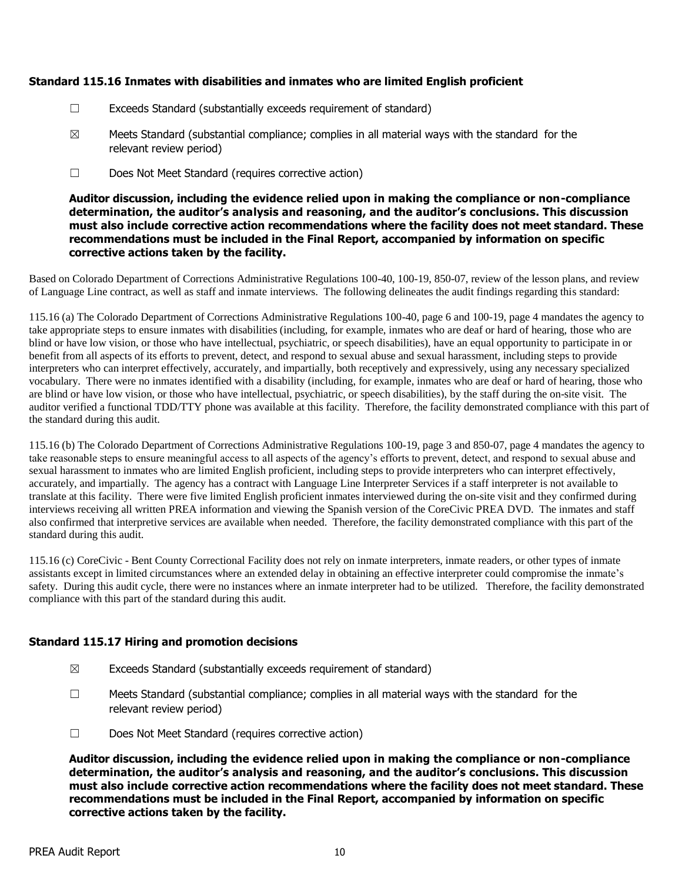# **Standard 115.16 Inmates with disabilities and inmates who are limited English proficient**

- $\Box$  Exceeds Standard (substantially exceeds requirement of standard)
- $\boxtimes$  Meets Standard (substantial compliance; complies in all material ways with the standard for the relevant review period)
- ☐ Does Not Meet Standard (requires corrective action)

**Auditor discussion, including the evidence relied upon in making the compliance or non-compliance determination, the auditor's analysis and reasoning, and the auditor's conclusions. This discussion must also include corrective action recommendations where the facility does not meet standard. These recommendations must be included in the Final Report, accompanied by information on specific corrective actions taken by the facility.**

Based on Colorado Department of Corrections Administrative Regulations 100-40, 100-19, 850-07, review of the lesson plans, and review of Language Line contract, as well as staff and inmate interviews. The following delineates the audit findings regarding this standard:

115.16 (a) The Colorado Department of Corrections Administrative Regulations 100-40, page 6 and 100-19, page 4 mandates the agency to take appropriate steps to ensure inmates with disabilities (including, for example, inmates who are deaf or hard of hearing, those who are blind or have low vision, or those who have intellectual, psychiatric, or speech disabilities), have an equal opportunity to participate in or benefit from all aspects of its efforts to prevent, detect, and respond to sexual abuse and sexual harassment, including steps to provide interpreters who can interpret effectively, accurately, and impartially, both receptively and expressively, using any necessary specialized vocabulary. There were no inmates identified with a disability (including, for example, inmates who are deaf or hard of hearing, those who are blind or have low vision, or those who have intellectual, psychiatric, or speech disabilities), by the staff during the on-site visit. The auditor verified a functional TDD/TTY phone was available at this facility. Therefore, the facility demonstrated compliance with this part of the standard during this audit.

115.16 (b) The Colorado Department of Corrections Administrative Regulations 100-19, page 3 and 850-07, page 4 mandates the agency to take reasonable steps to ensure meaningful access to all aspects of the agency's efforts to prevent, detect, and respond to sexual abuse and sexual harassment to inmates who are limited English proficient, including steps to provide interpreters who can interpret effectively, accurately, and impartially. The agency has a contract with Language Line Interpreter Services if a staff interpreter is not available to translate at this facility. There were five limited English proficient inmates interviewed during the on-site visit and they confirmed during interviews receiving all written PREA information and viewing the Spanish version of the CoreCivic PREA DVD. The inmates and staff also confirmed that interpretive services are available when needed. Therefore, the facility demonstrated compliance with this part of the standard during this audit.

115.16 (c) CoreCivic - Bent County Correctional Facility does not rely on inmate interpreters, inmate readers, or other types of inmate assistants except in limited circumstances where an extended delay in obtaining an effective interpreter could compromise the inmate's safety. During this audit cycle, there were no instances where an inmate interpreter had to be utilized. Therefore, the facility demonstrated compliance with this part of the standard during this audit.

# **Standard 115.17 Hiring and promotion decisions**

- $\boxtimes$  Exceeds Standard (substantially exceeds requirement of standard)
- $\Box$  Meets Standard (substantial compliance; complies in all material ways with the standard for the relevant review period)
- ☐ Does Not Meet Standard (requires corrective action)

**Auditor discussion, including the evidence relied upon in making the compliance or non-compliance determination, the auditor's analysis and reasoning, and the auditor's conclusions. This discussion must also include corrective action recommendations where the facility does not meet standard. These recommendations must be included in the Final Report, accompanied by information on specific corrective actions taken by the facility.**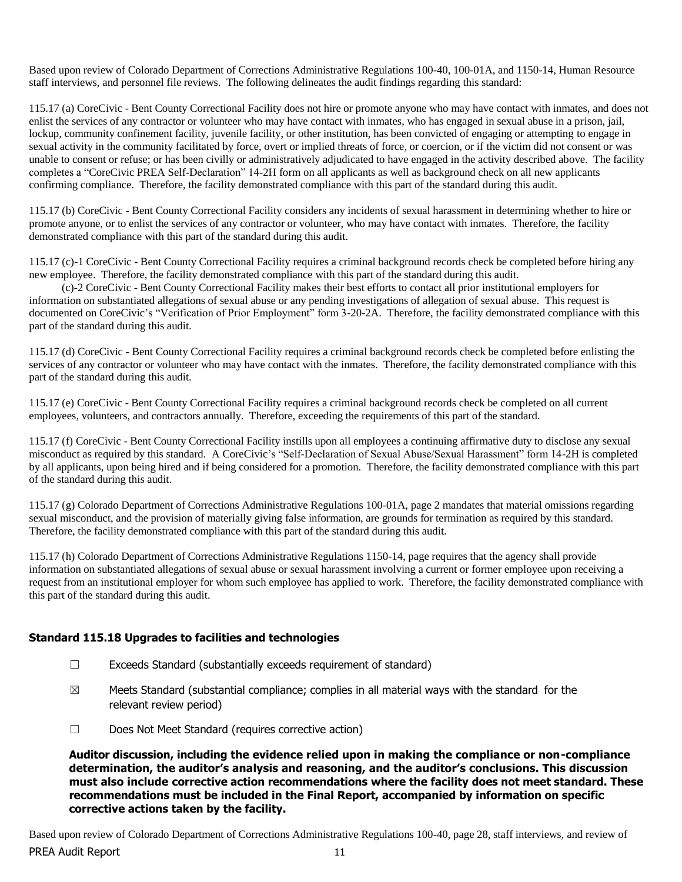Based upon review of Colorado Department of Corrections Administrative Regulations 100-40, 100-01A, and 1150-14, Human Resource staff interviews, and personnel file reviews. The following delineates the audit findings regarding this standard:

115.17 (a) CoreCivic - Bent County Correctional Facility does not hire or promote anyone who may have contact with inmates, and does not enlist the services of any contractor or volunteer who may have contact with inmates, who has engaged in sexual abuse in a prison, jail, lockup, community confinement facility, juvenile facility, or other institution, has been convicted of engaging or attempting to engage in sexual activity in the community facilitated by force, overt or implied threats of force, or coercion, or if the victim did not consent or was unable to consent or refuse; or has been civilly or administratively adjudicated to have engaged in the activity described above. The facility completes a "CoreCivic PREA Self-Declaration" 14-2H form on all applicants as well as background check on all new applicants confirming compliance. Therefore, the facility demonstrated compliance with this part of the standard during this audit.

115.17 (b) CoreCivic - Bent County Correctional Facility considers any incidents of sexual harassment in determining whether to hire or promote anyone, or to enlist the services of any contractor or volunteer, who may have contact with inmates. Therefore, the facility demonstrated compliance with this part of the standard during this audit.

115.17 (c)-1 CoreCivic - Bent County Correctional Facility requires a criminal background records check be completed before hiring any new employee. Therefore, the facility demonstrated compliance with this part of the standard during this audit.

 (c)-2 CoreCivic - Bent County Correctional Facility makes their best efforts to contact all prior institutional employers for information on substantiated allegations of sexual abuse or any pending investigations of allegation of sexual abuse. This request is documented on CoreCivic's "Verification of Prior Employment" form 3-20-2A. Therefore, the facility demonstrated compliance with this part of the standard during this audit.

115.17 (d) CoreCivic - Bent County Correctional Facility requires a criminal background records check be completed before enlisting the services of any contractor or volunteer who may have contact with the inmates. Therefore, the facility demonstrated compliance with this part of the standard during this audit.

115.17 (e) CoreCivic - Bent County Correctional Facility requires a criminal background records check be completed on all current employees, volunteers, and contractors annually. Therefore, exceeding the requirements of this part of the standard.

115.17 (f) CoreCivic - Bent County Correctional Facility instills upon all employees a continuing affirmative duty to disclose any sexual misconduct as required by this standard. A CoreCivic's "Self-Declaration of Sexual Abuse/Sexual Harassment" form 14-2H is completed by all applicants, upon being hired and if being considered for a promotion. Therefore, the facility demonstrated compliance with this part of the standard during this audit.

115.17 (g) Colorado Department of Corrections Administrative Regulations 100-01A, page 2 mandates that material omissions regarding sexual misconduct, and the provision of materially giving false information, are grounds for termination as required by this standard. Therefore, the facility demonstrated compliance with this part of the standard during this audit.

115.17 (h) Colorado Department of Corrections Administrative Regulations 1150-14, page requires that the agency shall provide information on substantiated allegations of sexual abuse or sexual harassment involving a current or former employee upon receiving a request from an institutional employer for whom such employee has applied to work. Therefore, the facility demonstrated compliance with this part of the standard during this audit.

# **Standard 115.18 Upgrades to facilities and technologies**

- $\Box$  Exceeds Standard (substantially exceeds requirement of standard)
- $\boxtimes$  Meets Standard (substantial compliance; complies in all material ways with the standard for the relevant review period)
- ☐ Does Not Meet Standard (requires corrective action)

**Auditor discussion, including the evidence relied upon in making the compliance or non-compliance determination, the auditor's analysis and reasoning, and the auditor's conclusions. This discussion must also include corrective action recommendations where the facility does not meet standard. These recommendations must be included in the Final Report, accompanied by information on specific corrective actions taken by the facility.**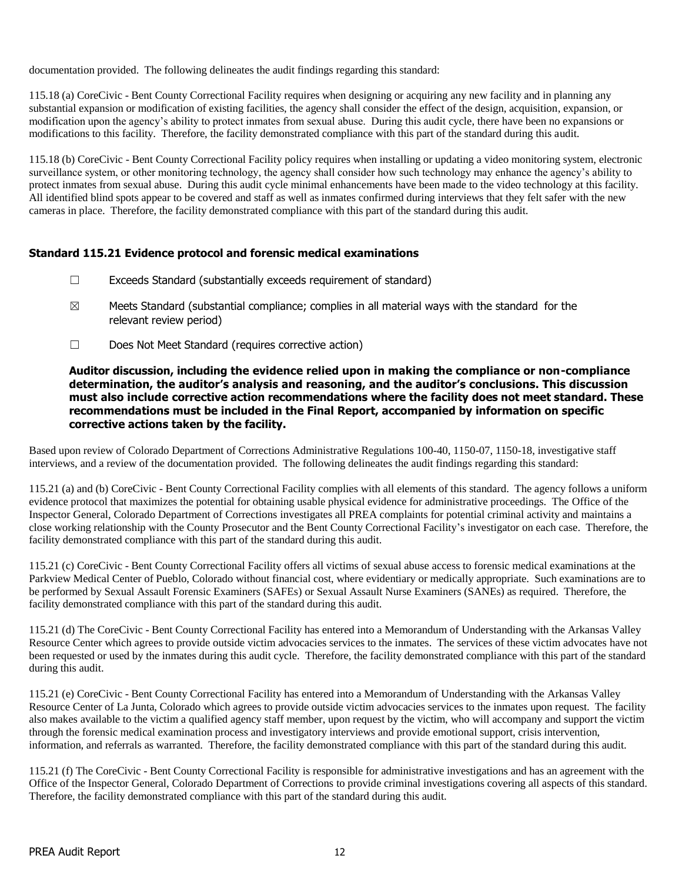documentation provided. The following delineates the audit findings regarding this standard:

115.18 (a) CoreCivic - Bent County Correctional Facility requires when designing or acquiring any new facility and in planning any substantial expansion or modification of existing facilities, the agency shall consider the effect of the design, acquisition, expansion, or modification upon the agency's ability to protect inmates from sexual abuse. During this audit cycle, there have been no expansions or modifications to this facility. Therefore, the facility demonstrated compliance with this part of the standard during this audit.

115.18 (b) CoreCivic - Bent County Correctional Facility policy requires when installing or updating a video monitoring system, electronic surveillance system, or other monitoring technology, the agency shall consider how such technology may enhance the agency's ability to protect inmates from sexual abuse. During this audit cycle minimal enhancements have been made to the video technology at this facility. All identified blind spots appear to be covered and staff as well as inmates confirmed during interviews that they felt safer with the new cameras in place. Therefore, the facility demonstrated compliance with this part of the standard during this audit.

# **Standard 115.21 Evidence protocol and forensic medical examinations**

- ☐ Exceeds Standard (substantially exceeds requirement of standard)
- $\boxtimes$  Meets Standard (substantial compliance; complies in all material ways with the standard for the relevant review period)
- ☐ Does Not Meet Standard (requires corrective action)

#### **Auditor discussion, including the evidence relied upon in making the compliance or non-compliance determination, the auditor's analysis and reasoning, and the auditor's conclusions. This discussion must also include corrective action recommendations where the facility does not meet standard. These recommendations must be included in the Final Report, accompanied by information on specific corrective actions taken by the facility.**

Based upon review of Colorado Department of Corrections Administrative Regulations 100-40, 1150-07, 1150-18, investigative staff interviews, and a review of the documentation provided. The following delineates the audit findings regarding this standard:

115.21 (a) and (b) CoreCivic - Bent County Correctional Facility complies with all elements of this standard. The agency follows a uniform evidence protocol that maximizes the potential for obtaining usable physical evidence for administrative proceedings. The Office of the Inspector General, Colorado Department of Corrections investigates all PREA complaints for potential criminal activity and maintains a close working relationship with the County Prosecutor and the Bent County Correctional Facility's investigator on each case. Therefore, the facility demonstrated compliance with this part of the standard during this audit.

115.21 (c) CoreCivic - Bent County Correctional Facility offers all victims of sexual abuse access to forensic medical examinations at the Parkview Medical Center of Pueblo, Colorado without financial cost, where evidentiary or medically appropriate. Such examinations are to be performed by Sexual Assault Forensic Examiners (SAFEs) or Sexual Assault Nurse Examiners (SANEs) as required. Therefore, the facility demonstrated compliance with this part of the standard during this audit.

115.21 (d) The CoreCivic - Bent County Correctional Facility has entered into a Memorandum of Understanding with the Arkansas Valley Resource Center which agrees to provide outside victim advocacies services to the inmates. The services of these victim advocates have not been requested or used by the inmates during this audit cycle. Therefore, the facility demonstrated compliance with this part of the standard during this audit.

115.21 (e) CoreCivic - Bent County Correctional Facility has entered into a Memorandum of Understanding with the Arkansas Valley Resource Center of La Junta, Colorado which agrees to provide outside victim advocacies services to the inmates upon request. The facility also makes available to the victim a qualified agency staff member, upon request by the victim, who will accompany and support the victim through the forensic medical examination process and investigatory interviews and provide emotional support, crisis intervention, information, and referrals as warranted. Therefore, the facility demonstrated compliance with this part of the standard during this audit.

115.21 (f) The CoreCivic - Bent County Correctional Facility is responsible for administrative investigations and has an agreement with the Office of the Inspector General, Colorado Department of Corrections to provide criminal investigations covering all aspects of this standard. Therefore, the facility demonstrated compliance with this part of the standard during this audit.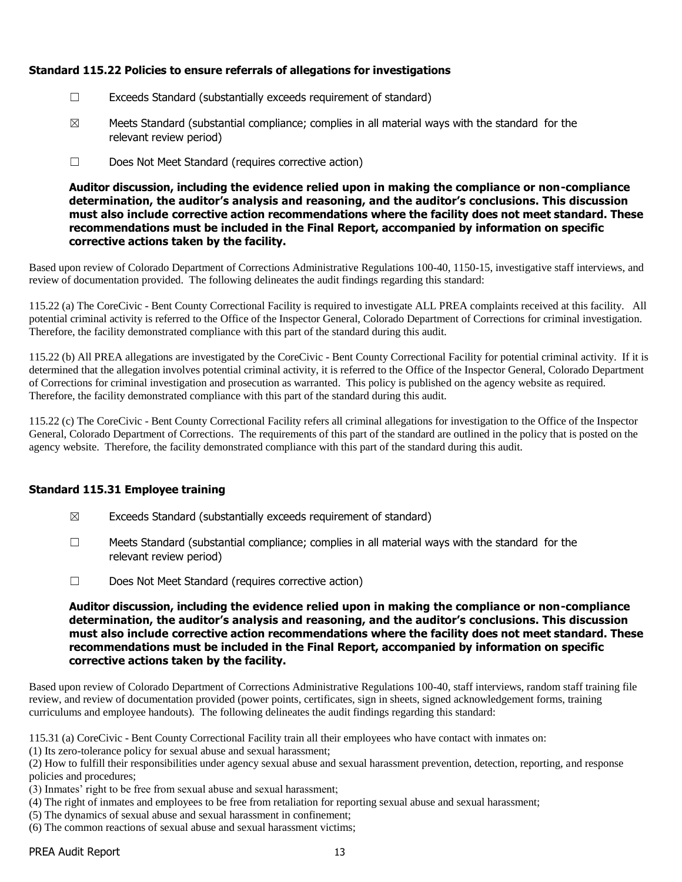# **Standard 115.22 Policies to ensure referrals of allegations for investigations**

- ☐ Exceeds Standard (substantially exceeds requirement of standard)
- $\boxtimes$  Meets Standard (substantial compliance; complies in all material ways with the standard for the relevant review period)
- ☐ Does Not Meet Standard (requires corrective action)

**Auditor discussion, including the evidence relied upon in making the compliance or non-compliance determination, the auditor's analysis and reasoning, and the auditor's conclusions. This discussion must also include corrective action recommendations where the facility does not meet standard. These recommendations must be included in the Final Report, accompanied by information on specific corrective actions taken by the facility.**

Based upon review of Colorado Department of Corrections Administrative Regulations 100-40, 1150-15, investigative staff interviews, and review of documentation provided. The following delineates the audit findings regarding this standard:

115.22 (a) The CoreCivic - Bent County Correctional Facility is required to investigate ALL PREA complaints received at this facility. All potential criminal activity is referred to the Office of the Inspector General, Colorado Department of Corrections for criminal investigation. Therefore, the facility demonstrated compliance with this part of the standard during this audit.

115.22 (b) All PREA allegations are investigated by the CoreCivic - Bent County Correctional Facility for potential criminal activity. If it is determined that the allegation involves potential criminal activity, it is referred to the Office of the Inspector General, Colorado Department of Corrections for criminal investigation and prosecution as warranted. This policy is published on the agency website as required. Therefore, the facility demonstrated compliance with this part of the standard during this audit.

115.22 (c) The CoreCivic - Bent County Correctional Facility refers all criminal allegations for investigation to the Office of the Inspector General, Colorado Department of Corrections. The requirements of this part of the standard are outlined in the policy that is posted on the agency website. Therefore, the facility demonstrated compliance with this part of the standard during this audit.

# **Standard 115.31 Employee training**

- $\boxtimes$  Exceeds Standard (substantially exceeds requirement of standard)
- $\Box$  Meets Standard (substantial compliance; complies in all material ways with the standard for the relevant review period)
- ☐ Does Not Meet Standard (requires corrective action)

**Auditor discussion, including the evidence relied upon in making the compliance or non-compliance determination, the auditor's analysis and reasoning, and the auditor's conclusions. This discussion must also include corrective action recommendations where the facility does not meet standard. These recommendations must be included in the Final Report, accompanied by information on specific corrective actions taken by the facility.**

Based upon review of Colorado Department of Corrections Administrative Regulations 100-40, staff interviews, random staff training file review, and review of documentation provided (power points, certificates, sign in sheets, signed acknowledgement forms, training curriculums and employee handouts). The following delineates the audit findings regarding this standard:

115.31 (a) CoreCivic - Bent County Correctional Facility train all their employees who have contact with inmates on:

(1) Its zero-tolerance policy for sexual abuse and sexual harassment;

(2) How to fulfill their responsibilities under agency sexual abuse and sexual harassment prevention, detection, reporting, and response policies and procedures;

(3) Inmates' right to be free from sexual abuse and sexual harassment;

- (4) The right of inmates and employees to be free from retaliation for reporting sexual abuse and sexual harassment;
- (5) The dynamics of sexual abuse and sexual harassment in confinement;
- (6) The common reactions of sexual abuse and sexual harassment victims;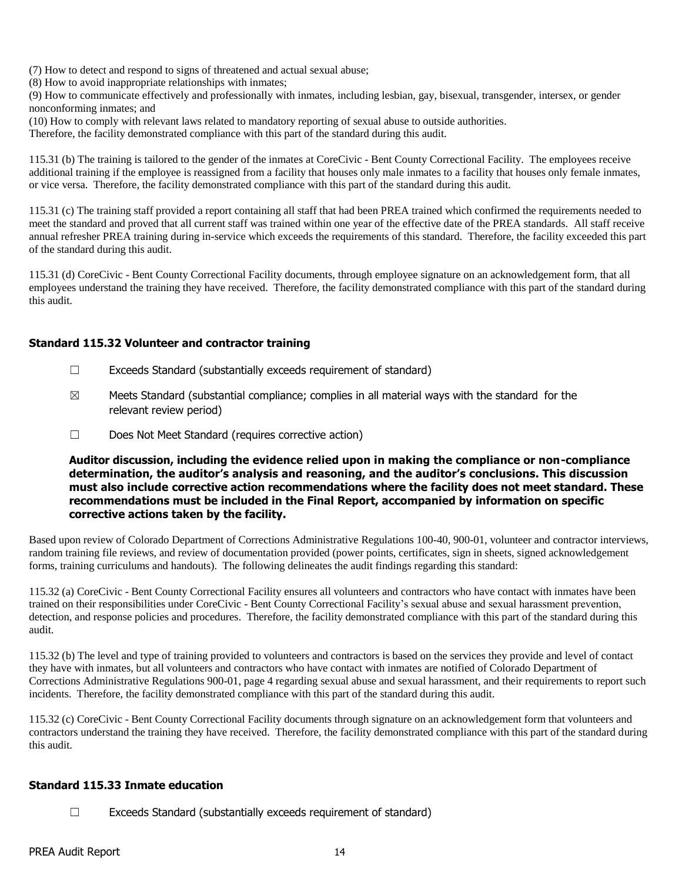(7) How to detect and respond to signs of threatened and actual sexual abuse;

(8) How to avoid inappropriate relationships with inmates;

(9) How to communicate effectively and professionally with inmates, including lesbian, gay, bisexual, transgender, intersex, or gender nonconforming inmates; and

(10) How to comply with relevant laws related to mandatory reporting of sexual abuse to outside authorities.

Therefore, the facility demonstrated compliance with this part of the standard during this audit.

115.31 (b) The training is tailored to the gender of the inmates at CoreCivic - Bent County Correctional Facility. The employees receive additional training if the employee is reassigned from a facility that houses only male inmates to a facility that houses only female inmates, or vice versa. Therefore, the facility demonstrated compliance with this part of the standard during this audit.

115.31 (c) The training staff provided a report containing all staff that had been PREA trained which confirmed the requirements needed to meet the standard and proved that all current staff was trained within one year of the effective date of the PREA standards. All staff receive annual refresher PREA training during in-service which exceeds the requirements of this standard. Therefore, the facility exceeded this part of the standard during this audit.

115.31 (d) CoreCivic - Bent County Correctional Facility documents, through employee signature on an acknowledgement form, that all employees understand the training they have received. Therefore, the facility demonstrated compliance with this part of the standard during this audit.

# **Standard 115.32 Volunteer and contractor training**

- ☐ Exceeds Standard (substantially exceeds requirement of standard)
- $\boxtimes$  Meets Standard (substantial compliance; complies in all material ways with the standard for the relevant review period)
- ☐ Does Not Meet Standard (requires corrective action)

**Auditor discussion, including the evidence relied upon in making the compliance or non-compliance determination, the auditor's analysis and reasoning, and the auditor's conclusions. This discussion must also include corrective action recommendations where the facility does not meet standard. These recommendations must be included in the Final Report, accompanied by information on specific corrective actions taken by the facility.**

Based upon review of Colorado Department of Corrections Administrative Regulations 100-40, 900-01, volunteer and contractor interviews, random training file reviews, and review of documentation provided (power points, certificates, sign in sheets, signed acknowledgement forms, training curriculums and handouts). The following delineates the audit findings regarding this standard:

115.32 (a) CoreCivic - Bent County Correctional Facility ensures all volunteers and contractors who have contact with inmates have been trained on their responsibilities under CoreCivic - Bent County Correctional Facility's sexual abuse and sexual harassment prevention, detection, and response policies and procedures. Therefore, the facility demonstrated compliance with this part of the standard during this audit.

115.32 (b) The level and type of training provided to volunteers and contractors is based on the services they provide and level of contact they have with inmates, but all volunteers and contractors who have contact with inmates are notified of Colorado Department of Corrections Administrative Regulations 900-01, page 4 regarding sexual abuse and sexual harassment, and their requirements to report such incidents. Therefore, the facility demonstrated compliance with this part of the standard during this audit.

115.32 (c) CoreCivic - Bent County Correctional Facility documents through signature on an acknowledgement form that volunteers and contractors understand the training they have received. Therefore, the facility demonstrated compliance with this part of the standard during this audit.

#### **Standard 115.33 Inmate education**

☐ Exceeds Standard (substantially exceeds requirement of standard)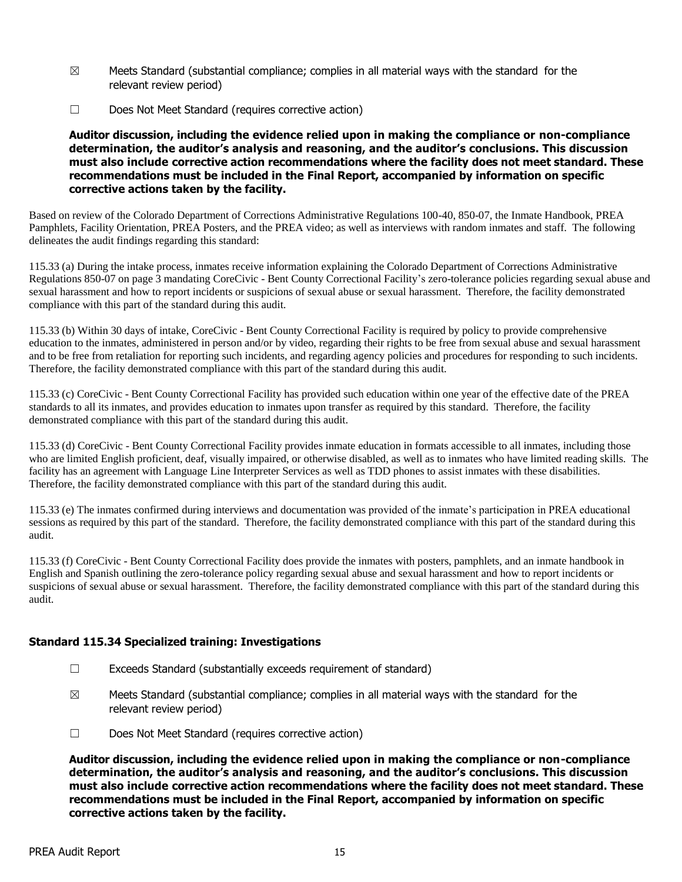- $\boxtimes$  Meets Standard (substantial compliance; complies in all material ways with the standard for the relevant review period)
- ☐ Does Not Meet Standard (requires corrective action)

#### **Auditor discussion, including the evidence relied upon in making the compliance or non-compliance determination, the auditor's analysis and reasoning, and the auditor's conclusions. This discussion must also include corrective action recommendations where the facility does not meet standard. These recommendations must be included in the Final Report, accompanied by information on specific corrective actions taken by the facility.**

Based on review of the Colorado Department of Corrections Administrative Regulations 100-40, 850-07, the Inmate Handbook, PREA Pamphlets, Facility Orientation, PREA Posters, and the PREA video; as well as interviews with random inmates and staff. The following delineates the audit findings regarding this standard:

115.33 (a) During the intake process, inmates receive information explaining the Colorado Department of Corrections Administrative Regulations 850-07 on page 3 mandating CoreCivic - Bent County Correctional Facility's zero-tolerance policies regarding sexual abuse and sexual harassment and how to report incidents or suspicions of sexual abuse or sexual harassment. Therefore, the facility demonstrated compliance with this part of the standard during this audit.

115.33 (b) Within 30 days of intake, CoreCivic - Bent County Correctional Facility is required by policy to provide comprehensive education to the inmates, administered in person and/or by video, regarding their rights to be free from sexual abuse and sexual harassment and to be free from retaliation for reporting such incidents, and regarding agency policies and procedures for responding to such incidents. Therefore, the facility demonstrated compliance with this part of the standard during this audit.

115.33 (c) CoreCivic - Bent County Correctional Facility has provided such education within one year of the effective date of the PREA standards to all its inmates, and provides education to inmates upon transfer as required by this standard. Therefore, the facility demonstrated compliance with this part of the standard during this audit.

115.33 (d) CoreCivic - Bent County Correctional Facility provides inmate education in formats accessible to all inmates, including those who are limited English proficient, deaf, visually impaired, or otherwise disabled, as well as to inmates who have limited reading skills. The facility has an agreement with Language Line Interpreter Services as well as TDD phones to assist inmates with these disabilities. Therefore, the facility demonstrated compliance with this part of the standard during this audit.

115.33 (e) The inmates confirmed during interviews and documentation was provided of the inmate's participation in PREA educational sessions as required by this part of the standard. Therefore, the facility demonstrated compliance with this part of the standard during this audit.

115.33 (f) CoreCivic - Bent County Correctional Facility does provide the inmates with posters, pamphlets, and an inmate handbook in English and Spanish outlining the zero-tolerance policy regarding sexual abuse and sexual harassment and how to report incidents or suspicions of sexual abuse or sexual harassment. Therefore, the facility demonstrated compliance with this part of the standard during this audit.

# **Standard 115.34 Specialized training: Investigations**

- ☐ Exceeds Standard (substantially exceeds requirement of standard)
- $\boxtimes$  Meets Standard (substantial compliance; complies in all material ways with the standard for the relevant review period)
- ☐ Does Not Meet Standard (requires corrective action)

**Auditor discussion, including the evidence relied upon in making the compliance or non-compliance determination, the auditor's analysis and reasoning, and the auditor's conclusions. This discussion must also include corrective action recommendations where the facility does not meet standard. These recommendations must be included in the Final Report, accompanied by information on specific corrective actions taken by the facility.**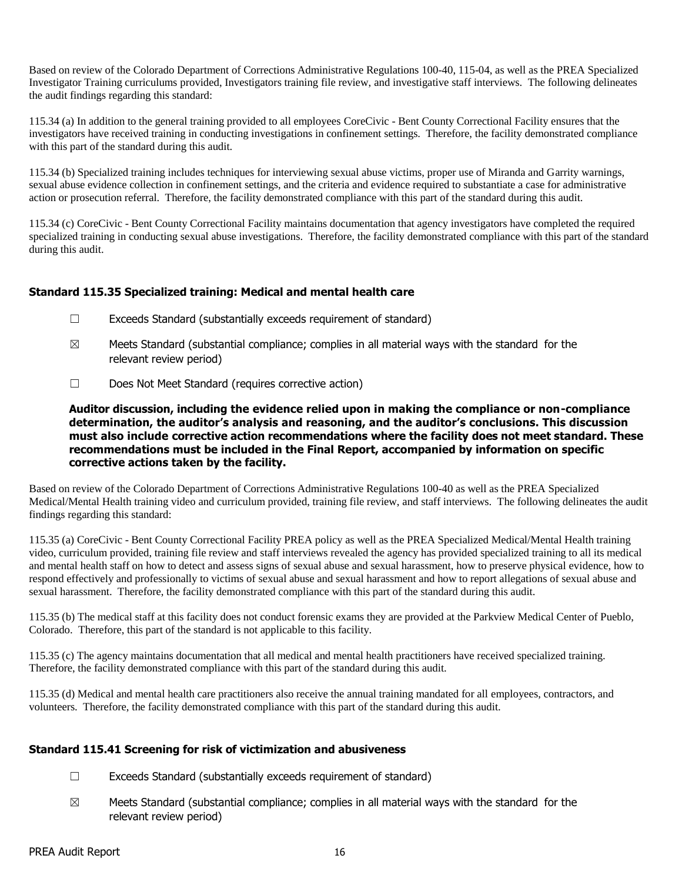Based on review of the Colorado Department of Corrections Administrative Regulations 100-40, 115-04, as well as the PREA Specialized Investigator Training curriculums provided, Investigators training file review, and investigative staff interviews. The following delineates the audit findings regarding this standard:

115.34 (a) In addition to the general training provided to all employees CoreCivic - Bent County Correctional Facility ensures that the investigators have received training in conducting investigations in confinement settings. Therefore, the facility demonstrated compliance with this part of the standard during this audit.

115.34 (b) Specialized training includes techniques for interviewing sexual abuse victims, proper use of Miranda and Garrity warnings, sexual abuse evidence collection in confinement settings, and the criteria and evidence required to substantiate a case for administrative action or prosecution referral. Therefore, the facility demonstrated compliance with this part of the standard during this audit.

115.34 (c) CoreCivic - Bent County Correctional Facility maintains documentation that agency investigators have completed the required specialized training in conducting sexual abuse investigations. Therefore, the facility demonstrated compliance with this part of the standard during this audit.

# **Standard 115.35 Specialized training: Medical and mental health care**

- ☐ Exceeds Standard (substantially exceeds requirement of standard)
- $\boxtimes$  Meets Standard (substantial compliance; complies in all material ways with the standard for the relevant review period)
- ☐ Does Not Meet Standard (requires corrective action)

**Auditor discussion, including the evidence relied upon in making the compliance or non-compliance determination, the auditor's analysis and reasoning, and the auditor's conclusions. This discussion must also include corrective action recommendations where the facility does not meet standard. These recommendations must be included in the Final Report, accompanied by information on specific corrective actions taken by the facility.**

Based on review of the Colorado Department of Corrections Administrative Regulations 100-40 as well as the PREA Specialized Medical/Mental Health training video and curriculum provided, training file review, and staff interviews. The following delineates the audit findings regarding this standard:

115.35 (a) CoreCivic - Bent County Correctional Facility PREA policy as well as the PREA Specialized Medical/Mental Health training video, curriculum provided, training file review and staff interviews revealed the agency has provided specialized training to all its medical and mental health staff on how to detect and assess signs of sexual abuse and sexual harassment, how to preserve physical evidence, how to respond effectively and professionally to victims of sexual abuse and sexual harassment and how to report allegations of sexual abuse and sexual harassment. Therefore, the facility demonstrated compliance with this part of the standard during this audit.

115.35 (b) The medical staff at this facility does not conduct forensic exams they are provided at the Parkview Medical Center of Pueblo, Colorado. Therefore, this part of the standard is not applicable to this facility.

115.35 (c) The agency maintains documentation that all medical and mental health practitioners have received specialized training. Therefore, the facility demonstrated compliance with this part of the standard during this audit.

115.35 (d) Medical and mental health care practitioners also receive the annual training mandated for all employees, contractors, and volunteers. Therefore, the facility demonstrated compliance with this part of the standard during this audit.

# **Standard 115.41 Screening for risk of victimization and abusiveness**

- ☐ Exceeds Standard (substantially exceeds requirement of standard)
- $\boxtimes$  Meets Standard (substantial compliance; complies in all material ways with the standard for the relevant review period)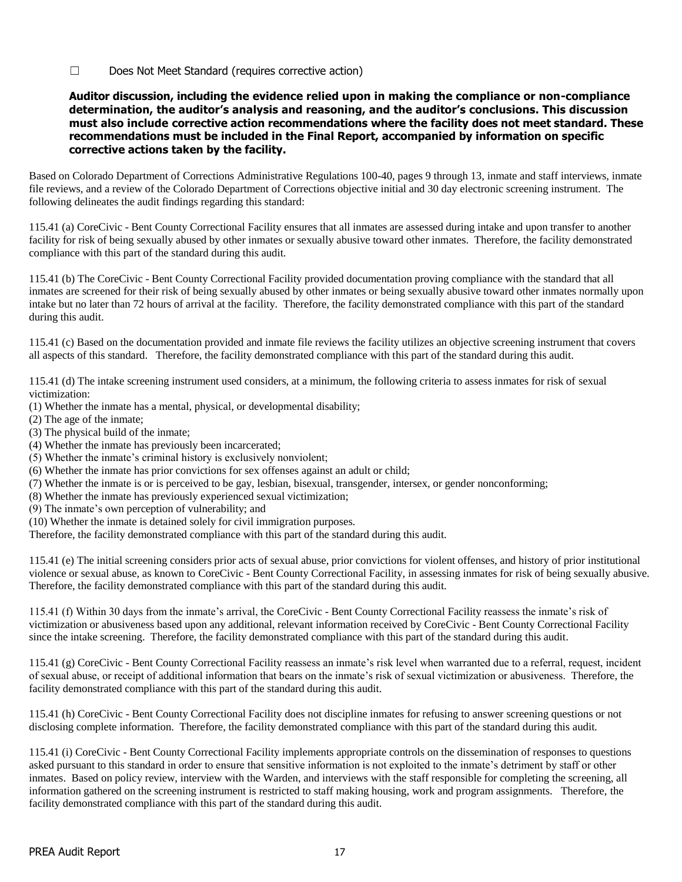☐ Does Not Meet Standard (requires corrective action)

#### **Auditor discussion, including the evidence relied upon in making the compliance or non-compliance determination, the auditor's analysis and reasoning, and the auditor's conclusions. This discussion must also include corrective action recommendations where the facility does not meet standard. These recommendations must be included in the Final Report, accompanied by information on specific corrective actions taken by the facility.**

Based on Colorado Department of Corrections Administrative Regulations 100-40, pages 9 through 13, inmate and staff interviews, inmate file reviews, and a review of the Colorado Department of Corrections objective initial and 30 day electronic screening instrument. The following delineates the audit findings regarding this standard:

115.41 (a) CoreCivic - Bent County Correctional Facility ensures that all inmates are assessed during intake and upon transfer to another facility for risk of being sexually abused by other inmates or sexually abusive toward other inmates. Therefore, the facility demonstrated compliance with this part of the standard during this audit.

115.41 (b) The CoreCivic - Bent County Correctional Facility provided documentation proving compliance with the standard that all inmates are screened for their risk of being sexually abused by other inmates or being sexually abusive toward other inmates normally upon intake but no later than 72 hours of arrival at the facility. Therefore, the facility demonstrated compliance with this part of the standard during this audit.

115.41 (c) Based on the documentation provided and inmate file reviews the facility utilizes an objective screening instrument that covers all aspects of this standard. Therefore, the facility demonstrated compliance with this part of the standard during this audit.

115.41 (d) The intake screening instrument used considers, at a minimum, the following criteria to assess inmates for risk of sexual victimization:

- (1) Whether the inmate has a mental, physical, or developmental disability;
- (2) The age of the inmate;
- (3) The physical build of the inmate;
- (4) Whether the inmate has previously been incarcerated;
- (5) Whether the inmate's criminal history is exclusively nonviolent;
- (6) Whether the inmate has prior convictions for sex offenses against an adult or child;
- (7) Whether the inmate is or is perceived to be gay, lesbian, bisexual, transgender, intersex, or gender nonconforming;
- (8) Whether the inmate has previously experienced sexual victimization;
- (9) The inmate's own perception of vulnerability; and
- (10) Whether the inmate is detained solely for civil immigration purposes.

Therefore, the facility demonstrated compliance with this part of the standard during this audit.

115.41 (e) The initial screening considers prior acts of sexual abuse, prior convictions for violent offenses, and history of prior institutional violence or sexual abuse, as known to CoreCivic - Bent County Correctional Facility, in assessing inmates for risk of being sexually abusive. Therefore, the facility demonstrated compliance with this part of the standard during this audit.

115.41 (f) Within 30 days from the inmate's arrival, the CoreCivic - Bent County Correctional Facility reassess the inmate's risk of victimization or abusiveness based upon any additional, relevant information received by CoreCivic - Bent County Correctional Facility since the intake screening. Therefore, the facility demonstrated compliance with this part of the standard during this audit.

115.41 (g) CoreCivic - Bent County Correctional Facility reassess an inmate's risk level when warranted due to a referral, request, incident of sexual abuse, or receipt of additional information that bears on the inmate's risk of sexual victimization or abusiveness. Therefore, the facility demonstrated compliance with this part of the standard during this audit.

115.41 (h) CoreCivic - Bent County Correctional Facility does not discipline inmates for refusing to answer screening questions or not disclosing complete information. Therefore, the facility demonstrated compliance with this part of the standard during this audit.

115.41 (i) CoreCivic - Bent County Correctional Facility implements appropriate controls on the dissemination of responses to questions asked pursuant to this standard in order to ensure that sensitive information is not exploited to the inmate's detriment by staff or other inmates. Based on policy review, interview with the Warden, and interviews with the staff responsible for completing the screening, all information gathered on the screening instrument is restricted to staff making housing, work and program assignments. Therefore, the facility demonstrated compliance with this part of the standard during this audit.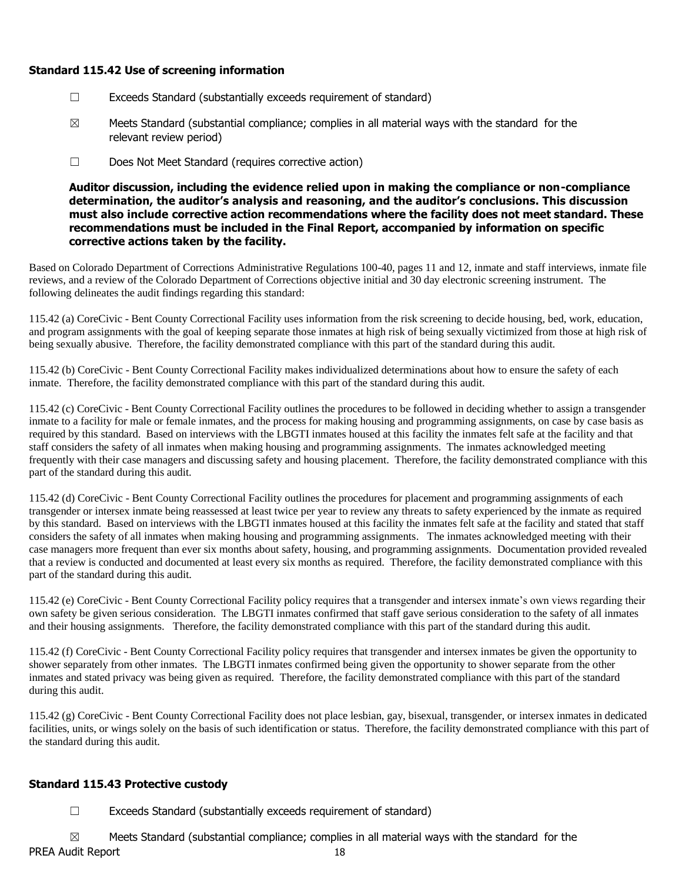# **Standard 115.42 Use of screening information**

- ☐ Exceeds Standard (substantially exceeds requirement of standard)
- $\boxtimes$  Meets Standard (substantial compliance; complies in all material ways with the standard for the relevant review period)
- ☐ Does Not Meet Standard (requires corrective action)

**Auditor discussion, including the evidence relied upon in making the compliance or non-compliance determination, the auditor's analysis and reasoning, and the auditor's conclusions. This discussion must also include corrective action recommendations where the facility does not meet standard. These recommendations must be included in the Final Report, accompanied by information on specific corrective actions taken by the facility.**

Based on Colorado Department of Corrections Administrative Regulations 100-40, pages 11 and 12, inmate and staff interviews, inmate file reviews, and a review of the Colorado Department of Corrections objective initial and 30 day electronic screening instrument. The following delineates the audit findings regarding this standard:

115.42 (a) CoreCivic - Bent County Correctional Facility uses information from the risk screening to decide housing, bed, work, education, and program assignments with the goal of keeping separate those inmates at high risk of being sexually victimized from those at high risk of being sexually abusive. Therefore, the facility demonstrated compliance with this part of the standard during this audit.

115.42 (b) CoreCivic - Bent County Correctional Facility makes individualized determinations about how to ensure the safety of each inmate. Therefore, the facility demonstrated compliance with this part of the standard during this audit.

115.42 (c) CoreCivic - Bent County Correctional Facility outlines the procedures to be followed in deciding whether to assign a transgender inmate to a facility for male or female inmates, and the process for making housing and programming assignments, on case by case basis as required by this standard. Based on interviews with the LBGTI inmates housed at this facility the inmates felt safe at the facility and that staff considers the safety of all inmates when making housing and programming assignments. The inmates acknowledged meeting frequently with their case managers and discussing safety and housing placement. Therefore, the facility demonstrated compliance with this part of the standard during this audit.

115.42 (d) CoreCivic - Bent County Correctional Facility outlines the procedures for placement and programming assignments of each transgender or intersex inmate being reassessed at least twice per year to review any threats to safety experienced by the inmate as required by this standard. Based on interviews with the LBGTI inmates housed at this facility the inmates felt safe at the facility and stated that staff considers the safety of all inmates when making housing and programming assignments. The inmates acknowledged meeting with their case managers more frequent than ever six months about safety, housing, and programming assignments. Documentation provided revealed that a review is conducted and documented at least every six months as required. Therefore, the facility demonstrated compliance with this part of the standard during this audit.

115.42 (e) CoreCivic - Bent County Correctional Facility policy requires that a transgender and intersex inmate's own views regarding their own safety be given serious consideration. The LBGTI inmates confirmed that staff gave serious consideration to the safety of all inmates and their housing assignments. Therefore, the facility demonstrated compliance with this part of the standard during this audit.

115.42 (f) CoreCivic - Bent County Correctional Facility policy requires that transgender and intersex inmates be given the opportunity to shower separately from other inmates. The LBGTI inmates confirmed being given the opportunity to shower separate from the other inmates and stated privacy was being given as required. Therefore, the facility demonstrated compliance with this part of the standard during this audit.

115.42 (g) CoreCivic - Bent County Correctional Facility does not place lesbian, gay, bisexual, transgender, or intersex inmates in dedicated facilities, units, or wings solely on the basis of such identification or status. Therefore, the facility demonstrated compliance with this part of the standard during this audit.

# **Standard 115.43 Protective custody**

 $\Box$  Exceeds Standard (substantially exceeds requirement of standard)

PREA Audit Report 18  $\boxtimes$  Meets Standard (substantial compliance; complies in all material ways with the standard for the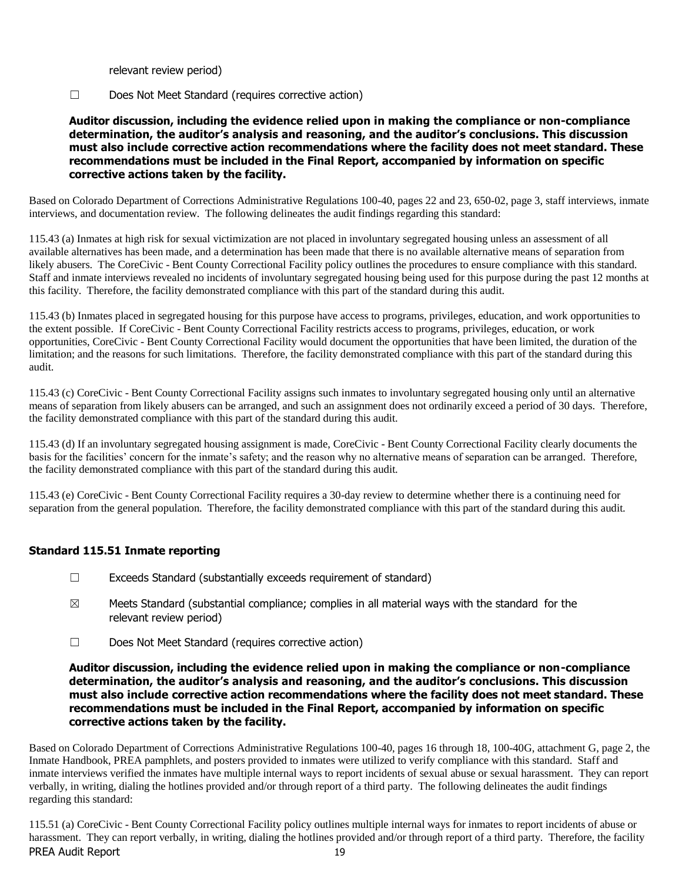relevant review period)

☐ Does Not Meet Standard (requires corrective action)

# **Auditor discussion, including the evidence relied upon in making the compliance or non-compliance determination, the auditor's analysis and reasoning, and the auditor's conclusions. This discussion must also include corrective action recommendations where the facility does not meet standard. These recommendations must be included in the Final Report, accompanied by information on specific corrective actions taken by the facility.**

Based on Colorado Department of Corrections Administrative Regulations 100-40, pages 22 and 23, 650-02, page 3, staff interviews, inmate interviews, and documentation review. The following delineates the audit findings regarding this standard:

115.43 (a) Inmates at high risk for sexual victimization are not placed in involuntary segregated housing unless an assessment of all available alternatives has been made, and a determination has been made that there is no available alternative means of separation from likely abusers. The CoreCivic - Bent County Correctional Facility policy outlines the procedures to ensure compliance with this standard. Staff and inmate interviews revealed no incidents of involuntary segregated housing being used for this purpose during the past 12 months at this facility. Therefore, the facility demonstrated compliance with this part of the standard during this audit.

115.43 (b) Inmates placed in segregated housing for this purpose have access to programs, privileges, education, and work opportunities to the extent possible. If CoreCivic - Bent County Correctional Facility restricts access to programs, privileges, education, or work opportunities, CoreCivic - Bent County Correctional Facility would document the opportunities that have been limited, the duration of the limitation; and the reasons for such limitations. Therefore, the facility demonstrated compliance with this part of the standard during this audit.

115.43 (c) CoreCivic - Bent County Correctional Facility assigns such inmates to involuntary segregated housing only until an alternative means of separation from likely abusers can be arranged, and such an assignment does not ordinarily exceed a period of 30 days. Therefore, the facility demonstrated compliance with this part of the standard during this audit.

115.43 (d) If an involuntary segregated housing assignment is made, CoreCivic - Bent County Correctional Facility clearly documents the basis for the facilities' concern for the inmate's safety; and the reason why no alternative means of separation can be arranged. Therefore, the facility demonstrated compliance with this part of the standard during this audit.

115.43 (e) CoreCivic - Bent County Correctional Facility requires a 30-day review to determine whether there is a continuing need for separation from the general population. Therefore, the facility demonstrated compliance with this part of the standard during this audit.

# **Standard 115.51 Inmate reporting**

- $\Box$  Exceeds Standard (substantially exceeds requirement of standard)
- $\boxtimes$  Meets Standard (substantial compliance; complies in all material ways with the standard for the relevant review period)
- ☐ Does Not Meet Standard (requires corrective action)

#### **Auditor discussion, including the evidence relied upon in making the compliance or non-compliance determination, the auditor's analysis and reasoning, and the auditor's conclusions. This discussion must also include corrective action recommendations where the facility does not meet standard. These recommendations must be included in the Final Report, accompanied by information on specific corrective actions taken by the facility.**

Based on Colorado Department of Corrections Administrative Regulations 100-40, pages 16 through 18, 100-40G, attachment G, page 2, the Inmate Handbook, PREA pamphlets, and posters provided to inmates were utilized to verify compliance with this standard. Staff and inmate interviews verified the inmates have multiple internal ways to report incidents of sexual abuse or sexual harassment. They can report verbally, in writing, dialing the hotlines provided and/or through report of a third party. The following delineates the audit findings regarding this standard:

PREA Audit Report 19 115.51 (a) CoreCivic - Bent County Correctional Facility policy outlines multiple internal ways for inmates to report incidents of abuse or harassment. They can report verbally, in writing, dialing the hotlines provided and/or through report of a third party. Therefore, the facility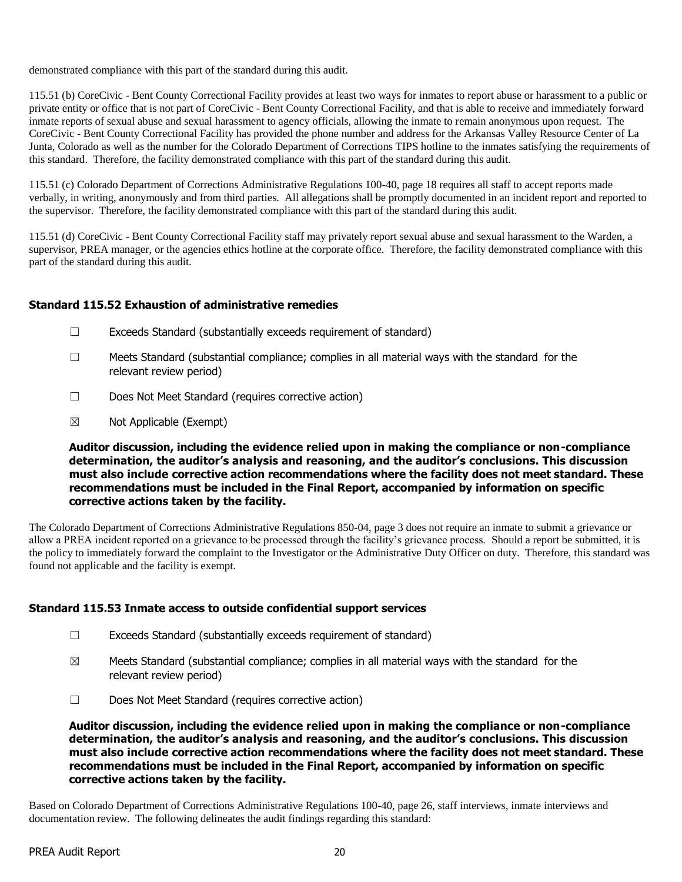demonstrated compliance with this part of the standard during this audit.

115.51 (b) CoreCivic - Bent County Correctional Facility provides at least two ways for inmates to report abuse or harassment to a public or private entity or office that is not part of CoreCivic - Bent County Correctional Facility, and that is able to receive and immediately forward inmate reports of sexual abuse and sexual harassment to agency officials, allowing the inmate to remain anonymous upon request. The CoreCivic - Bent County Correctional Facility has provided the phone number and address for the Arkansas Valley Resource Center of La Junta, Colorado as well as the number for the Colorado Department of Corrections TIPS hotline to the inmates satisfying the requirements of this standard. Therefore, the facility demonstrated compliance with this part of the standard during this audit.

115.51 (c) Colorado Department of Corrections Administrative Regulations 100-40, page 18 requires all staff to accept reports made verbally, in writing, anonymously and from third parties. All allegations shall be promptly documented in an incident report and reported to the supervisor. Therefore, the facility demonstrated compliance with this part of the standard during this audit.

115.51 (d) CoreCivic - Bent County Correctional Facility staff may privately report sexual abuse and sexual harassment to the Warden, a supervisor, PREA manager, or the agencies ethics hotline at the corporate office. Therefore, the facility demonstrated compliance with this part of the standard during this audit.

# **Standard 115.52 Exhaustion of administrative remedies**

- ☐ Exceeds Standard (substantially exceeds requirement of standard)
- $\Box$  Meets Standard (substantial compliance; complies in all material ways with the standard for the relevant review period)
- ☐ Does Not Meet Standard (requires corrective action)
- ☒ Not Applicable (Exempt)

**Auditor discussion, including the evidence relied upon in making the compliance or non-compliance determination, the auditor's analysis and reasoning, and the auditor's conclusions. This discussion must also include corrective action recommendations where the facility does not meet standard. These recommendations must be included in the Final Report, accompanied by information on specific corrective actions taken by the facility.**

The Colorado Department of Corrections Administrative Regulations 850-04, page 3 does not require an inmate to submit a grievance or allow a PREA incident reported on a grievance to be processed through the facility's grievance process. Should a report be submitted, it is the policy to immediately forward the complaint to the Investigator or the Administrative Duty Officer on duty. Therefore, this standard was found not applicable and the facility is exempt.

# **Standard 115.53 Inmate access to outside confidential support services**

- ☐ Exceeds Standard (substantially exceeds requirement of standard)
- $\boxtimes$  Meets Standard (substantial compliance; complies in all material ways with the standard for the relevant review period)
- ☐ Does Not Meet Standard (requires corrective action)

**Auditor discussion, including the evidence relied upon in making the compliance or non-compliance determination, the auditor's analysis and reasoning, and the auditor's conclusions. This discussion must also include corrective action recommendations where the facility does not meet standard. These recommendations must be included in the Final Report, accompanied by information on specific corrective actions taken by the facility.**

Based on Colorado Department of Corrections Administrative Regulations 100-40, page 26, staff interviews, inmate interviews and documentation review. The following delineates the audit findings regarding this standard: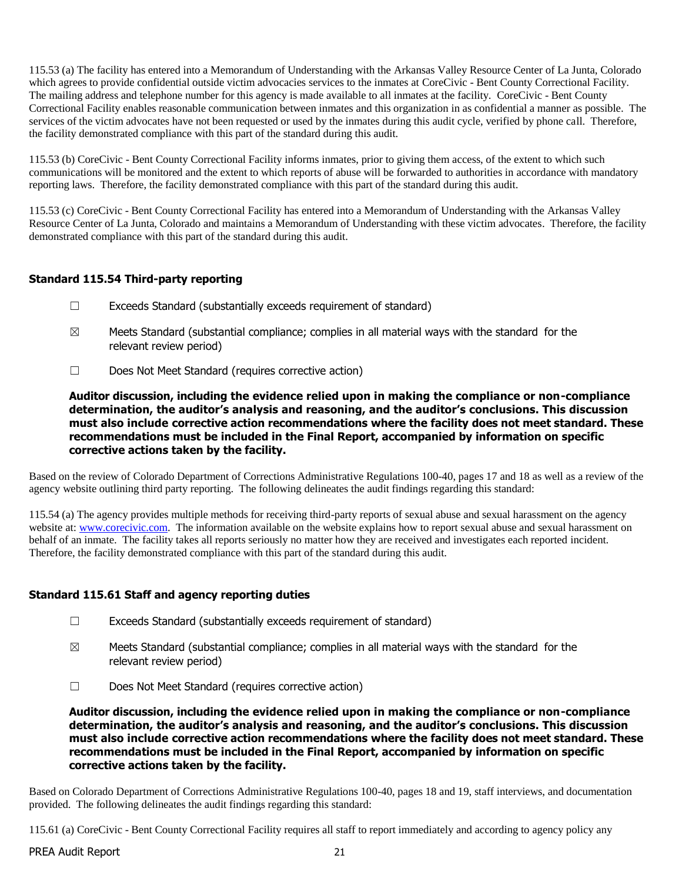115.53 (a) The facility has entered into a Memorandum of Understanding with the Arkansas Valley Resource Center of La Junta, Colorado which agrees to provide confidential outside victim advocacies services to the inmates at CoreCivic - Bent County Correctional Facility. The mailing address and telephone number for this agency is made available to all inmates at the facility. CoreCivic - Bent County Correctional Facility enables reasonable communication between inmates and this organization in as confidential a manner as possible. The services of the victim advocates have not been requested or used by the inmates during this audit cycle, verified by phone call. Therefore, the facility demonstrated compliance with this part of the standard during this audit.

115.53 (b) CoreCivic - Bent County Correctional Facility informs inmates, prior to giving them access, of the extent to which such communications will be monitored and the extent to which reports of abuse will be forwarded to authorities in accordance with mandatory reporting laws. Therefore, the facility demonstrated compliance with this part of the standard during this audit.

115.53 (c) CoreCivic - Bent County Correctional Facility has entered into a Memorandum of Understanding with the Arkansas Valley Resource Center of La Junta, Colorado and maintains a Memorandum of Understanding with these victim advocates. Therefore, the facility demonstrated compliance with this part of the standard during this audit.

# **Standard 115.54 Third-party reporting**

- ☐ Exceeds Standard (substantially exceeds requirement of standard)
- $\boxtimes$  Meets Standard (substantial compliance; complies in all material ways with the standard for the relevant review period)
- ☐ Does Not Meet Standard (requires corrective action)

**Auditor discussion, including the evidence relied upon in making the compliance or non-compliance determination, the auditor's analysis and reasoning, and the auditor's conclusions. This discussion must also include corrective action recommendations where the facility does not meet standard. These recommendations must be included in the Final Report, accompanied by information on specific corrective actions taken by the facility.**

Based on the review of Colorado Department of Corrections Administrative Regulations 100-40, pages 17 and 18 as well as a review of the agency website outlining third party reporting. The following delineates the audit findings regarding this standard:

115.54 (a) The agency provides multiple methods for receiving third-party reports of sexual abuse and sexual harassment on the agency website at: [www.corecivic.com.](http://www.corecivic.com/) The information available on the website explains how to report sexual abuse and sexual harassment on behalf of an inmate. The facility takes all reports seriously no matter how they are received and investigates each reported incident. Therefore, the facility demonstrated compliance with this part of the standard during this audit.

# **Standard 115.61 Staff and agency reporting duties**

- $\Box$  Exceeds Standard (substantially exceeds requirement of standard)
- $\boxtimes$  Meets Standard (substantial compliance; complies in all material ways with the standard for the relevant review period)
- ☐ Does Not Meet Standard (requires corrective action)

**Auditor discussion, including the evidence relied upon in making the compliance or non-compliance determination, the auditor's analysis and reasoning, and the auditor's conclusions. This discussion must also include corrective action recommendations where the facility does not meet standard. These recommendations must be included in the Final Report, accompanied by information on specific corrective actions taken by the facility.**

Based on Colorado Department of Corrections Administrative Regulations 100-40, pages 18 and 19, staff interviews, and documentation provided. The following delineates the audit findings regarding this standard:

115.61 (a) CoreCivic - Bent County Correctional Facility requires all staff to report immediately and according to agency policy any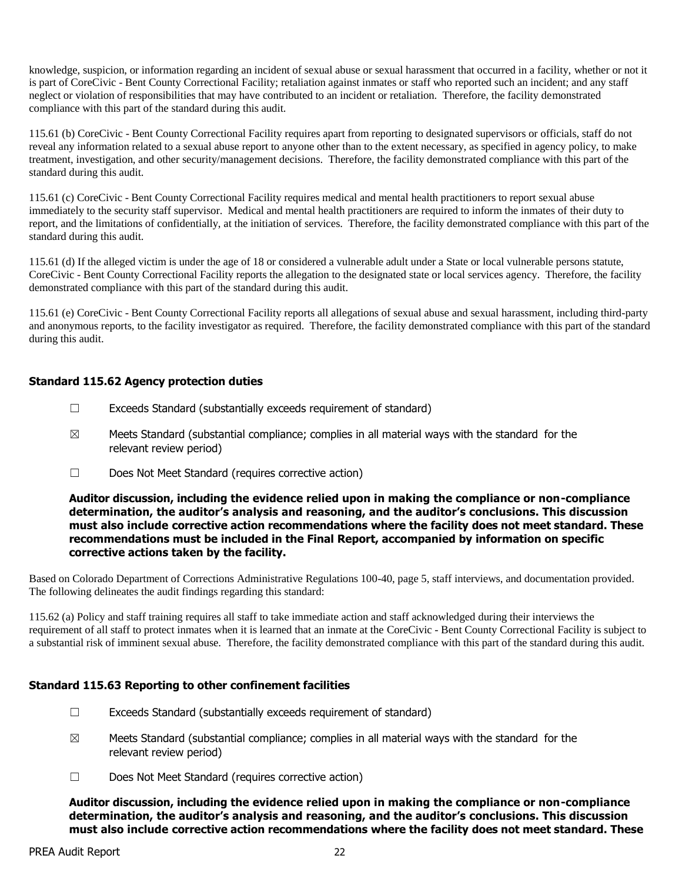knowledge, suspicion, or information regarding an incident of sexual abuse or sexual harassment that occurred in a facility, whether or not it is part of CoreCivic - Bent County Correctional Facility; retaliation against inmates or staff who reported such an incident; and any staff neglect or violation of responsibilities that may have contributed to an incident or retaliation. Therefore, the facility demonstrated compliance with this part of the standard during this audit.

115.61 (b) CoreCivic - Bent County Correctional Facility requires apart from reporting to designated supervisors or officials, staff do not reveal any information related to a sexual abuse report to anyone other than to the extent necessary, as specified in agency policy, to make treatment, investigation, and other security/management decisions. Therefore, the facility demonstrated compliance with this part of the standard during this audit.

115.61 (c) CoreCivic - Bent County Correctional Facility requires medical and mental health practitioners to report sexual abuse immediately to the security staff supervisor. Medical and mental health practitioners are required to inform the inmates of their duty to report, and the limitations of confidentially, at the initiation of services. Therefore, the facility demonstrated compliance with this part of the standard during this audit.

115.61 (d) If the alleged victim is under the age of 18 or considered a vulnerable adult under a State or local vulnerable persons statute, CoreCivic - Bent County Correctional Facility reports the allegation to the designated state or local services agency. Therefore, the facility demonstrated compliance with this part of the standard during this audit.

115.61 (e) CoreCivic - Bent County Correctional Facility reports all allegations of sexual abuse and sexual harassment, including third-party and anonymous reports, to the facility investigator as required. Therefore, the facility demonstrated compliance with this part of the standard during this audit.

# **Standard 115.62 Agency protection duties**

- $\Box$  Exceeds Standard (substantially exceeds requirement of standard)
- $\boxtimes$  Meets Standard (substantial compliance; complies in all material ways with the standard for the relevant review period)
- ☐ Does Not Meet Standard (requires corrective action)

**Auditor discussion, including the evidence relied upon in making the compliance or non-compliance determination, the auditor's analysis and reasoning, and the auditor's conclusions. This discussion must also include corrective action recommendations where the facility does not meet standard. These recommendations must be included in the Final Report, accompanied by information on specific corrective actions taken by the facility.**

Based on Colorado Department of Corrections Administrative Regulations 100-40, page 5, staff interviews, and documentation provided. The following delineates the audit findings regarding this standard:

115.62 (a) Policy and staff training requires all staff to take immediate action and staff acknowledged during their interviews the requirement of all staff to protect inmates when it is learned that an inmate at the CoreCivic - Bent County Correctional Facility is subject to a substantial risk of imminent sexual abuse. Therefore, the facility demonstrated compliance with this part of the standard during this audit.

# **Standard 115.63 Reporting to other confinement facilities**

- $\Box$  Exceeds Standard (substantially exceeds requirement of standard)
- $\boxtimes$  Meets Standard (substantial compliance; complies in all material ways with the standard for the relevant review period)
- ☐ Does Not Meet Standard (requires corrective action)

**Auditor discussion, including the evidence relied upon in making the compliance or non-compliance determination, the auditor's analysis and reasoning, and the auditor's conclusions. This discussion must also include corrective action recommendations where the facility does not meet standard. These**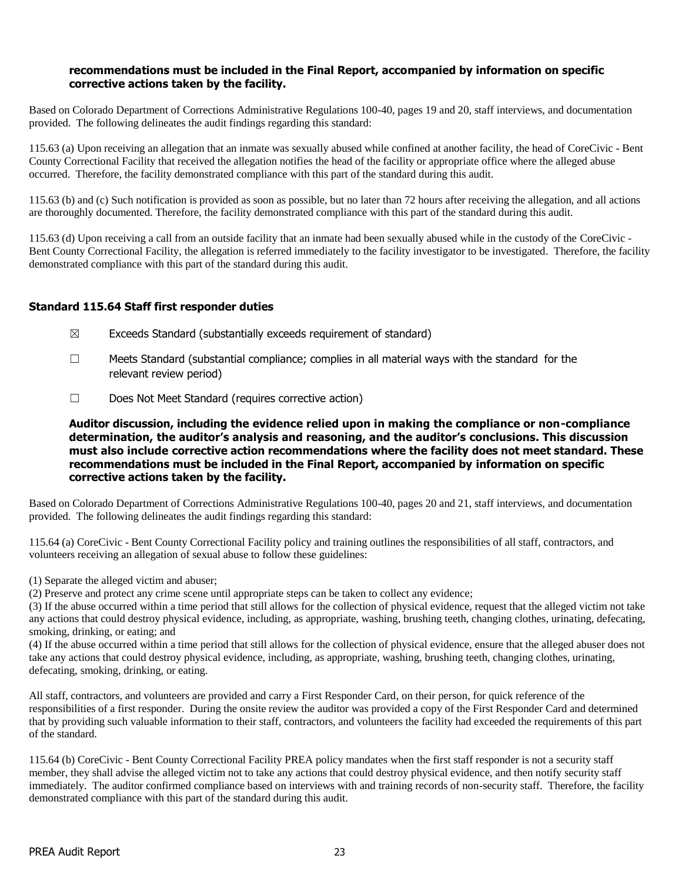#### **recommendations must be included in the Final Report, accompanied by information on specific corrective actions taken by the facility.**

Based on Colorado Department of Corrections Administrative Regulations 100-40, pages 19 and 20, staff interviews, and documentation provided. The following delineates the audit findings regarding this standard:

115.63 (a) Upon receiving an allegation that an inmate was sexually abused while confined at another facility, the head of CoreCivic - Bent County Correctional Facility that received the allegation notifies the head of the facility or appropriate office where the alleged abuse occurred. Therefore, the facility demonstrated compliance with this part of the standard during this audit.

115.63 (b) and (c) Such notification is provided as soon as possible, but no later than 72 hours after receiving the allegation, and all actions are thoroughly documented. Therefore, the facility demonstrated compliance with this part of the standard during this audit.

115.63 (d) Upon receiving a call from an outside facility that an inmate had been sexually abused while in the custody of the CoreCivic - Bent County Correctional Facility, the allegation is referred immediately to the facility investigator to be investigated. Therefore, the facility demonstrated compliance with this part of the standard during this audit.

# **Standard 115.64 Staff first responder duties**

- $\boxtimes$  Exceeds Standard (substantially exceeds requirement of standard)
- $\Box$  Meets Standard (substantial compliance; complies in all material ways with the standard for the relevant review period)
- ☐ Does Not Meet Standard (requires corrective action)

**Auditor discussion, including the evidence relied upon in making the compliance or non-compliance determination, the auditor's analysis and reasoning, and the auditor's conclusions. This discussion must also include corrective action recommendations where the facility does not meet standard. These recommendations must be included in the Final Report, accompanied by information on specific corrective actions taken by the facility.**

Based on Colorado Department of Corrections Administrative Regulations 100-40, pages 20 and 21, staff interviews, and documentation provided. The following delineates the audit findings regarding this standard:

115.64 (a) CoreCivic - Bent County Correctional Facility policy and training outlines the responsibilities of all staff, contractors, and volunteers receiving an allegation of sexual abuse to follow these guidelines:

(1) Separate the alleged victim and abuser;

(2) Preserve and protect any crime scene until appropriate steps can be taken to collect any evidence;

(3) If the abuse occurred within a time period that still allows for the collection of physical evidence, request that the alleged victim not take any actions that could destroy physical evidence, including, as appropriate, washing, brushing teeth, changing clothes, urinating, defecating, smoking, drinking, or eating; and

(4) If the abuse occurred within a time period that still allows for the collection of physical evidence, ensure that the alleged abuser does not take any actions that could destroy physical evidence, including, as appropriate, washing, brushing teeth, changing clothes, urinating, defecating, smoking, drinking, or eating.

All staff, contractors, and volunteers are provided and carry a First Responder Card, on their person, for quick reference of the responsibilities of a first responder. During the onsite review the auditor was provided a copy of the First Responder Card and determined that by providing such valuable information to their staff, contractors, and volunteers the facility had exceeded the requirements of this part of the standard.

115.64 (b) CoreCivic - Bent County Correctional Facility PREA policy mandates when the first staff responder is not a security staff member, they shall advise the alleged victim not to take any actions that could destroy physical evidence, and then notify security staff immediately. The auditor confirmed compliance based on interviews with and training records of non-security staff. Therefore, the facility demonstrated compliance with this part of the standard during this audit.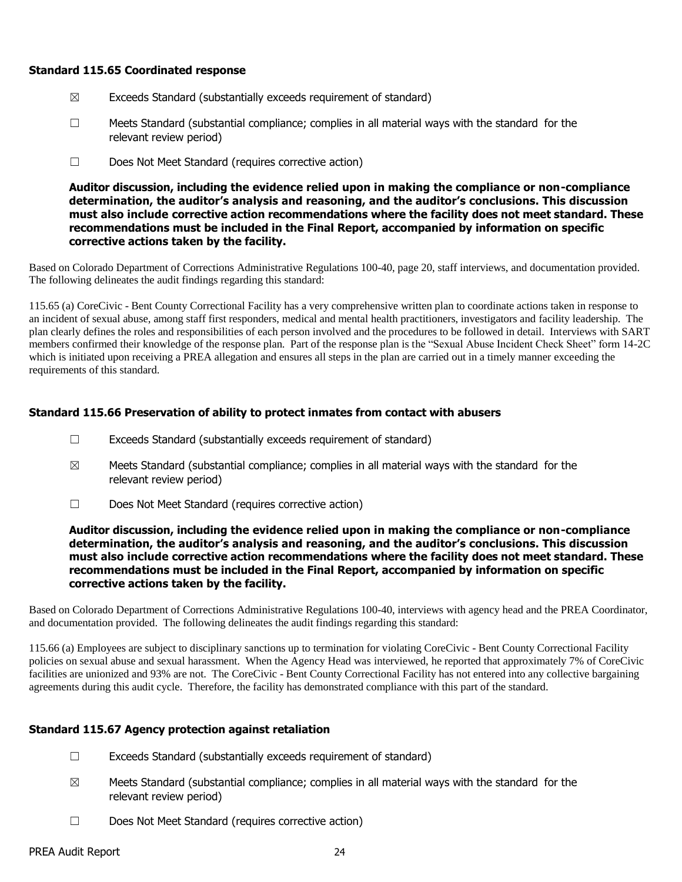#### **Standard 115.65 Coordinated response**

- $\boxtimes$  Exceeds Standard (substantially exceeds requirement of standard)
- ☐ Meets Standard (substantial compliance; complies in all material ways with the standard for the relevant review period)
- ☐ Does Not Meet Standard (requires corrective action)

**Auditor discussion, including the evidence relied upon in making the compliance or non-compliance determination, the auditor's analysis and reasoning, and the auditor's conclusions. This discussion must also include corrective action recommendations where the facility does not meet standard. These recommendations must be included in the Final Report, accompanied by information on specific corrective actions taken by the facility.**

Based on Colorado Department of Corrections Administrative Regulations 100-40, page 20, staff interviews, and documentation provided. The following delineates the audit findings regarding this standard:

115.65 (a) CoreCivic - Bent County Correctional Facility has a very comprehensive written plan to coordinate actions taken in response to an incident of sexual abuse, among staff first responders, medical and mental health practitioners, investigators and facility leadership. The plan clearly defines the roles and responsibilities of each person involved and the procedures to be followed in detail. Interviews with SART members confirmed their knowledge of the response plan. Part of the response plan is the "Sexual Abuse Incident Check Sheet" form 14-2C which is initiated upon receiving a PREA allegation and ensures all steps in the plan are carried out in a timely manner exceeding the requirements of this standard.

#### **Standard 115.66 Preservation of ability to protect inmates from contact with abusers**

- ☐ Exceeds Standard (substantially exceeds requirement of standard)
- $\boxtimes$  Meets Standard (substantial compliance; complies in all material ways with the standard for the relevant review period)
- ☐ Does Not Meet Standard (requires corrective action)

#### **Auditor discussion, including the evidence relied upon in making the compliance or non-compliance determination, the auditor's analysis and reasoning, and the auditor's conclusions. This discussion must also include corrective action recommendations where the facility does not meet standard. These recommendations must be included in the Final Report, accompanied by information on specific corrective actions taken by the facility.**

Based on Colorado Department of Corrections Administrative Regulations 100-40, interviews with agency head and the PREA Coordinator, and documentation provided. The following delineates the audit findings regarding this standard:

115.66 (a) Employees are subject to disciplinary sanctions up to termination for violating CoreCivic - Bent County Correctional Facility policies on sexual abuse and sexual harassment. When the Agency Head was interviewed, he reported that approximately 7% of CoreCivic facilities are unionized and 93% are not. The CoreCivic - Bent County Correctional Facility has not entered into any collective bargaining agreements during this audit cycle. Therefore, the facility has demonstrated compliance with this part of the standard.

# **Standard 115.67 Agency protection against retaliation**

- $\Box$  Exceeds Standard (substantially exceeds requirement of standard)
- $\boxtimes$  Meets Standard (substantial compliance; complies in all material ways with the standard for the relevant review period)
- ☐ Does Not Meet Standard (requires corrective action)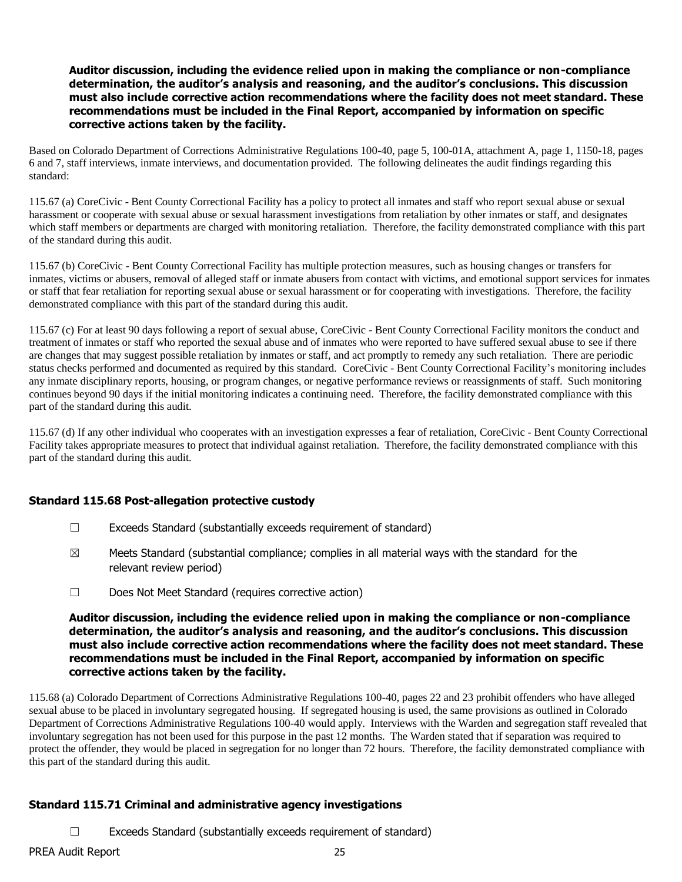#### **Auditor discussion, including the evidence relied upon in making the compliance or non-compliance determination, the auditor's analysis and reasoning, and the auditor's conclusions. This discussion must also include corrective action recommendations where the facility does not meet standard. These recommendations must be included in the Final Report, accompanied by information on specific corrective actions taken by the facility.**

Based on Colorado Department of Corrections Administrative Regulations 100-40, page 5, 100-01A, attachment A, page 1, 1150-18, pages 6 and 7, staff interviews, inmate interviews, and documentation provided. The following delineates the audit findings regarding this standard:

115.67 (a) CoreCivic - Bent County Correctional Facility has a policy to protect all inmates and staff who report sexual abuse or sexual harassment or cooperate with sexual abuse or sexual harassment investigations from retaliation by other inmates or staff, and designates which staff members or departments are charged with monitoring retaliation. Therefore, the facility demonstrated compliance with this part of the standard during this audit.

115.67 (b) CoreCivic - Bent County Correctional Facility has multiple protection measures, such as housing changes or transfers for inmates, victims or abusers, removal of alleged staff or inmate abusers from contact with victims, and emotional support services for inmates or staff that fear retaliation for reporting sexual abuse or sexual harassment or for cooperating with investigations. Therefore, the facility demonstrated compliance with this part of the standard during this audit.

115.67 (c) For at least 90 days following a report of sexual abuse, CoreCivic - Bent County Correctional Facility monitors the conduct and treatment of inmates or staff who reported the sexual abuse and of inmates who were reported to have suffered sexual abuse to see if there are changes that may suggest possible retaliation by inmates or staff, and act promptly to remedy any such retaliation. There are periodic status checks performed and documented as required by this standard. CoreCivic - Bent County Correctional Facility's monitoring includes any inmate disciplinary reports, housing, or program changes, or negative performance reviews or reassignments of staff. Such monitoring continues beyond 90 days if the initial monitoring indicates a continuing need. Therefore, the facility demonstrated compliance with this part of the standard during this audit.

115.67 (d) If any other individual who cooperates with an investigation expresses a fear of retaliation, CoreCivic - Bent County Correctional Facility takes appropriate measures to protect that individual against retaliation. Therefore, the facility demonstrated compliance with this part of the standard during this audit.

# **Standard 115.68 Post-allegation protective custody**

- ☐ Exceeds Standard (substantially exceeds requirement of standard)
- $\boxtimes$  Meets Standard (substantial compliance; complies in all material ways with the standard for the relevant review period)
- ☐ Does Not Meet Standard (requires corrective action)

#### **Auditor discussion, including the evidence relied upon in making the compliance or non-compliance determination, the auditor's analysis and reasoning, and the auditor's conclusions. This discussion must also include corrective action recommendations where the facility does not meet standard. These recommendations must be included in the Final Report, accompanied by information on specific corrective actions taken by the facility.**

115.68 (a) Colorado Department of Corrections Administrative Regulations 100-40, pages 22 and 23 prohibit offenders who have alleged sexual abuse to be placed in involuntary segregated housing. If segregated housing is used, the same provisions as outlined in Colorado Department of Corrections Administrative Regulations 100-40 would apply. Interviews with the Warden and segregation staff revealed that involuntary segregation has not been used for this purpose in the past 12 months. The Warden stated that if separation was required to protect the offender, they would be placed in segregation for no longer than 72 hours. Therefore, the facility demonstrated compliance with this part of the standard during this audit.

# **Standard 115.71 Criminal and administrative agency investigations**

☐ Exceeds Standard (substantially exceeds requirement of standard)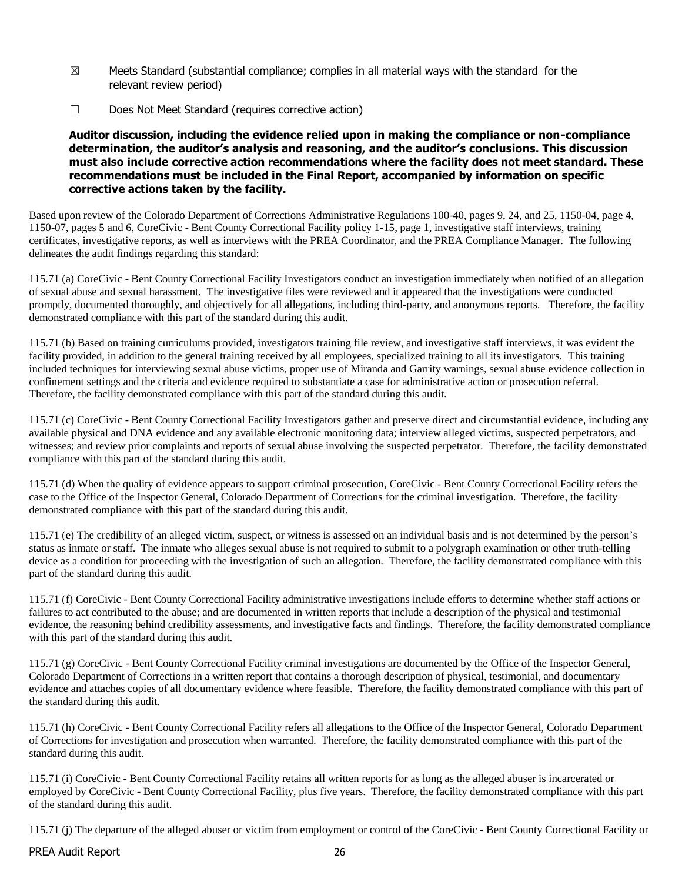- $\boxtimes$  Meets Standard (substantial compliance; complies in all material ways with the standard for the relevant review period)
- ☐ Does Not Meet Standard (requires corrective action)

#### **Auditor discussion, including the evidence relied upon in making the compliance or non-compliance determination, the auditor's analysis and reasoning, and the auditor's conclusions. This discussion must also include corrective action recommendations where the facility does not meet standard. These recommendations must be included in the Final Report, accompanied by information on specific corrective actions taken by the facility.**

Based upon review of the Colorado Department of Corrections Administrative Regulations 100-40, pages 9, 24, and 25, 1150-04, page 4, 1150-07, pages 5 and 6, CoreCivic - Bent County Correctional Facility policy 1-15, page 1, investigative staff interviews, training certificates, investigative reports, as well as interviews with the PREA Coordinator, and the PREA Compliance Manager. The following delineates the audit findings regarding this standard:

115.71 (a) CoreCivic - Bent County Correctional Facility Investigators conduct an investigation immediately when notified of an allegation of sexual abuse and sexual harassment. The investigative files were reviewed and it appeared that the investigations were conducted promptly, documented thoroughly, and objectively for all allegations, including third-party, and anonymous reports. Therefore, the facility demonstrated compliance with this part of the standard during this audit.

115.71 (b) Based on training curriculums provided, investigators training file review, and investigative staff interviews, it was evident the facility provided, in addition to the general training received by all employees, specialized training to all its investigators. This training included techniques for interviewing sexual abuse victims, proper use of Miranda and Garrity warnings, sexual abuse evidence collection in confinement settings and the criteria and evidence required to substantiate a case for administrative action or prosecution referral. Therefore, the facility demonstrated compliance with this part of the standard during this audit.

115.71 (c) CoreCivic - Bent County Correctional Facility Investigators gather and preserve direct and circumstantial evidence, including any available physical and DNA evidence and any available electronic monitoring data; interview alleged victims, suspected perpetrators, and witnesses; and review prior complaints and reports of sexual abuse involving the suspected perpetrator. Therefore, the facility demonstrated compliance with this part of the standard during this audit.

115.71 (d) When the quality of evidence appears to support criminal prosecution, CoreCivic - Bent County Correctional Facility refers the case to the Office of the Inspector General, Colorado Department of Corrections for the criminal investigation. Therefore, the facility demonstrated compliance with this part of the standard during this audit.

115.71 (e) The credibility of an alleged victim, suspect, or witness is assessed on an individual basis and is not determined by the person's status as inmate or staff. The inmate who alleges sexual abuse is not required to submit to a polygraph examination or other truth-telling device as a condition for proceeding with the investigation of such an allegation. Therefore, the facility demonstrated compliance with this part of the standard during this audit.

115.71 (f) CoreCivic - Bent County Correctional Facility administrative investigations include efforts to determine whether staff actions or failures to act contributed to the abuse; and are documented in written reports that include a description of the physical and testimonial evidence, the reasoning behind credibility assessments, and investigative facts and findings. Therefore, the facility demonstrated compliance with this part of the standard during this audit.

115.71 (g) CoreCivic - Bent County Correctional Facility criminal investigations are documented by the Office of the Inspector General, Colorado Department of Corrections in a written report that contains a thorough description of physical, testimonial, and documentary evidence and attaches copies of all documentary evidence where feasible. Therefore, the facility demonstrated compliance with this part of the standard during this audit.

115.71 (h) CoreCivic - Bent County Correctional Facility refers all allegations to the Office of the Inspector General, Colorado Department of Corrections for investigation and prosecution when warranted. Therefore, the facility demonstrated compliance with this part of the standard during this audit.

115.71 (i) CoreCivic - Bent County Correctional Facility retains all written reports for as long as the alleged abuser is incarcerated or employed by CoreCivic - Bent County Correctional Facility, plus five years. Therefore, the facility demonstrated compliance with this part of the standard during this audit.

115.71 (j) The departure of the alleged abuser or victim from employment or control of the CoreCivic - Bent County Correctional Facility or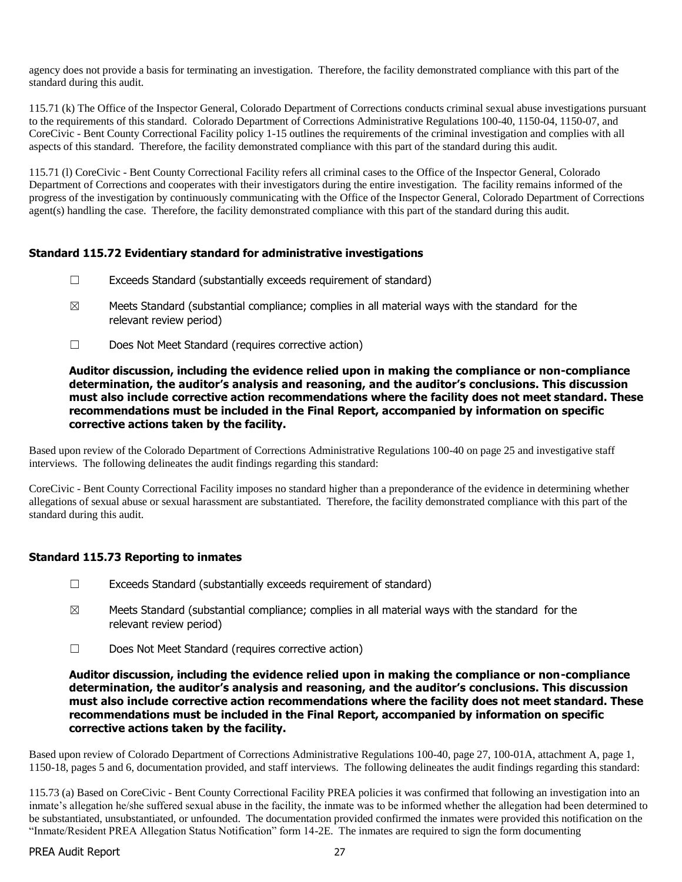agency does not provide a basis for terminating an investigation. Therefore, the facility demonstrated compliance with this part of the standard during this audit.

115.71 (k) The Office of the Inspector General, Colorado Department of Corrections conducts criminal sexual abuse investigations pursuant to the requirements of this standard. Colorado Department of Corrections Administrative Regulations 100-40, 1150-04, 1150-07, and CoreCivic - Bent County Correctional Facility policy 1-15 outlines the requirements of the criminal investigation and complies with all aspects of this standard. Therefore, the facility demonstrated compliance with this part of the standard during this audit.

115.71 (l) CoreCivic - Bent County Correctional Facility refers all criminal cases to the Office of the Inspector General, Colorado Department of Corrections and cooperates with their investigators during the entire investigation. The facility remains informed of the progress of the investigation by continuously communicating with the Office of the Inspector General, Colorado Department of Corrections agent(s) handling the case. Therefore, the facility demonstrated compliance with this part of the standard during this audit.

# **Standard 115.72 Evidentiary standard for administrative investigations**

- $\Box$  Exceeds Standard (substantially exceeds requirement of standard)
- $\boxtimes$  Meets Standard (substantial compliance; complies in all material ways with the standard for the relevant review period)
- ☐ Does Not Meet Standard (requires corrective action)

#### **Auditor discussion, including the evidence relied upon in making the compliance or non-compliance determination, the auditor's analysis and reasoning, and the auditor's conclusions. This discussion must also include corrective action recommendations where the facility does not meet standard. These recommendations must be included in the Final Report, accompanied by information on specific corrective actions taken by the facility.**

Based upon review of the Colorado Department of Corrections Administrative Regulations 100-40 on page 25 and investigative staff interviews. The following delineates the audit findings regarding this standard:

CoreCivic - Bent County Correctional Facility imposes no standard higher than a preponderance of the evidence in determining whether allegations of sexual abuse or sexual harassment are substantiated. Therefore, the facility demonstrated compliance with this part of the standard during this audit.

# **Standard 115.73 Reporting to inmates**

- $\Box$  Exceeds Standard (substantially exceeds requirement of standard)
- $\boxtimes$  Meets Standard (substantial compliance; complies in all material ways with the standard for the relevant review period)
- ☐ Does Not Meet Standard (requires corrective action)

**Auditor discussion, including the evidence relied upon in making the compliance or non-compliance determination, the auditor's analysis and reasoning, and the auditor's conclusions. This discussion must also include corrective action recommendations where the facility does not meet standard. These recommendations must be included in the Final Report, accompanied by information on specific corrective actions taken by the facility.**

Based upon review of Colorado Department of Corrections Administrative Regulations 100-40, page 27, 100-01A, attachment A, page 1, 1150-18, pages 5 and 6, documentation provided, and staff interviews. The following delineates the audit findings regarding this standard:

115.73 (a) Based on CoreCivic - Bent County Correctional Facility PREA policies it was confirmed that following an investigation into an inmate's allegation he/she suffered sexual abuse in the facility, the inmate was to be informed whether the allegation had been determined to be substantiated, unsubstantiated, or unfounded. The documentation provided confirmed the inmates were provided this notification on the "Inmate/Resident PREA Allegation Status Notification" form 14-2E. The inmates are required to sign the form documenting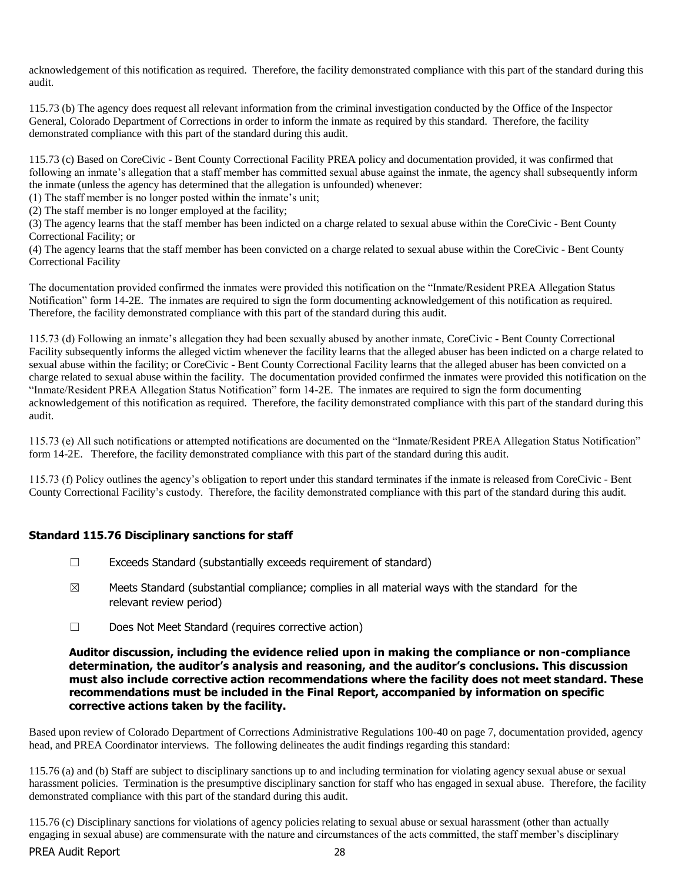acknowledgement of this notification as required. Therefore, the facility demonstrated compliance with this part of the standard during this audit.

115.73 (b) The agency does request all relevant information from the criminal investigation conducted by the Office of the Inspector General, Colorado Department of Corrections in order to inform the inmate as required by this standard. Therefore, the facility demonstrated compliance with this part of the standard during this audit.

115.73 (c) Based on CoreCivic - Bent County Correctional Facility PREA policy and documentation provided, it was confirmed that following an inmate's allegation that a staff member has committed sexual abuse against the inmate, the agency shall subsequently inform the inmate (unless the agency has determined that the allegation is unfounded) whenever:

(1) The staff member is no longer posted within the inmate's unit;

(2) The staff member is no longer employed at the facility;

(3) The agency learns that the staff member has been indicted on a charge related to sexual abuse within the CoreCivic - Bent County Correctional Facility; or

(4) The agency learns that the staff member has been convicted on a charge related to sexual abuse within the CoreCivic - Bent County Correctional Facility

The documentation provided confirmed the inmates were provided this notification on the "Inmate/Resident PREA Allegation Status Notification" form 14-2E. The inmates are required to sign the form documenting acknowledgement of this notification as required. Therefore, the facility demonstrated compliance with this part of the standard during this audit.

115.73 (d) Following an inmate's allegation they had been sexually abused by another inmate, CoreCivic - Bent County Correctional Facility subsequently informs the alleged victim whenever the facility learns that the alleged abuser has been indicted on a charge related to sexual abuse within the facility; or CoreCivic - Bent County Correctional Facility learns that the alleged abuser has been convicted on a charge related to sexual abuse within the facility. The documentation provided confirmed the inmates were provided this notification on the "Inmate/Resident PREA Allegation Status Notification" form 14-2E. The inmates are required to sign the form documenting acknowledgement of this notification as required. Therefore, the facility demonstrated compliance with this part of the standard during this audit.

115.73 (e) All such notifications or attempted notifications are documented on the "Inmate/Resident PREA Allegation Status Notification" form 14-2E. Therefore, the facility demonstrated compliance with this part of the standard during this audit.

115.73 (f) Policy outlines the agency's obligation to report under this standard terminates if the inmate is released from CoreCivic - Bent County Correctional Facility's custody. Therefore, the facility demonstrated compliance with this part of the standard during this audit.

# **Standard 115.76 Disciplinary sanctions for staff**

- ☐ Exceeds Standard (substantially exceeds requirement of standard)
- $\boxtimes$  Meets Standard (substantial compliance; complies in all material ways with the standard for the relevant review period)
- ☐ Does Not Meet Standard (requires corrective action)

#### **Auditor discussion, including the evidence relied upon in making the compliance or non-compliance determination, the auditor's analysis and reasoning, and the auditor's conclusions. This discussion must also include corrective action recommendations where the facility does not meet standard. These recommendations must be included in the Final Report, accompanied by information on specific corrective actions taken by the facility.**

Based upon review of Colorado Department of Corrections Administrative Regulations 100-40 on page 7, documentation provided, agency head, and PREA Coordinator interviews. The following delineates the audit findings regarding this standard:

115.76 (a) and (b) Staff are subject to disciplinary sanctions up to and including termination for violating agency sexual abuse or sexual harassment policies. Termination is the presumptive disciplinary sanction for staff who has engaged in sexual abuse. Therefore, the facility demonstrated compliance with this part of the standard during this audit.

PREA Audit Report 28 115.76 (c) Disciplinary sanctions for violations of agency policies relating to sexual abuse or sexual harassment (other than actually engaging in sexual abuse) are commensurate with the nature and circumstances of the acts committed, the staff member's disciplinary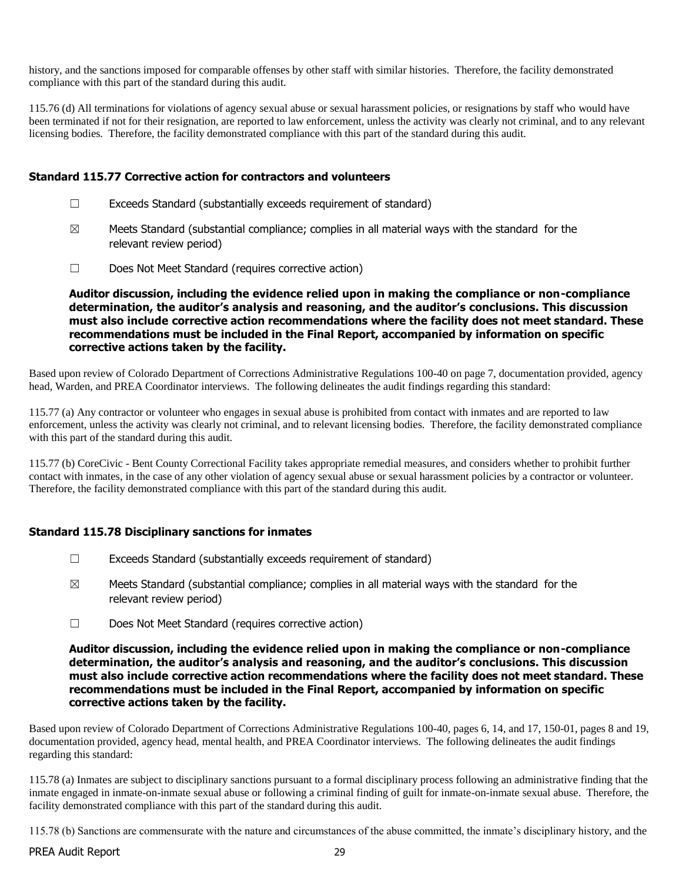history, and the sanctions imposed for comparable offenses by other staff with similar histories. Therefore, the facility demonstrated compliance with this part of the standard during this audit.

115.76 (d) All terminations for violations of agency sexual abuse or sexual harassment policies, or resignations by staff who would have been terminated if not for their resignation, are reported to law enforcement, unless the activity was clearly not criminal, and to any relevant licensing bodies. Therefore, the facility demonstrated compliance with this part of the standard during this audit.

#### **Standard 115.77 Corrective action for contractors and volunteers**

- $\Box$  Exceeds Standard (substantially exceeds requirement of standard)
- $\boxtimes$  Meets Standard (substantial compliance; complies in all material ways with the standard for the relevant review period)
- ☐ Does Not Meet Standard (requires corrective action)

**Auditor discussion, including the evidence relied upon in making the compliance or non-compliance determination, the auditor's analysis and reasoning, and the auditor's conclusions. This discussion must also include corrective action recommendations where the facility does not meet standard. These recommendations must be included in the Final Report, accompanied by information on specific corrective actions taken by the facility.**

Based upon review of Colorado Department of Corrections Administrative Regulations 100-40 on page 7, documentation provided, agency head, Warden, and PREA Coordinator interviews. The following delineates the audit findings regarding this standard:

115.77 (a) Any contractor or volunteer who engages in sexual abuse is prohibited from contact with inmates and are reported to law enforcement, unless the activity was clearly not criminal, and to relevant licensing bodies. Therefore, the facility demonstrated compliance with this part of the standard during this audit.

115.77 (b) CoreCivic - Bent County Correctional Facility takes appropriate remedial measures, and considers whether to prohibit further contact with inmates, in the case of any other violation of agency sexual abuse or sexual harassment policies by a contractor or volunteer. Therefore, the facility demonstrated compliance with this part of the standard during this audit.

# **Standard 115.78 Disciplinary sanctions for inmates**

- $\Box$  Exceeds Standard (substantially exceeds requirement of standard)
- $\boxtimes$  Meets Standard (substantial compliance; complies in all material ways with the standard for the relevant review period)
- ☐ Does Not Meet Standard (requires corrective action)

**Auditor discussion, including the evidence relied upon in making the compliance or non-compliance determination, the auditor's analysis and reasoning, and the auditor's conclusions. This discussion must also include corrective action recommendations where the facility does not meet standard. These recommendations must be included in the Final Report, accompanied by information on specific corrective actions taken by the facility.**

Based upon review of Colorado Department of Corrections Administrative Regulations 100-40, pages 6, 14, and 17, 150-01, pages 8 and 19, documentation provided, agency head, mental health, and PREA Coordinator interviews. The following delineates the audit findings regarding this standard:

115.78 (a) Inmates are subject to disciplinary sanctions pursuant to a formal disciplinary process following an administrative finding that the inmate engaged in inmate-on-inmate sexual abuse or following a criminal finding of guilt for inmate-on-inmate sexual abuse. Therefore, the facility demonstrated compliance with this part of the standard during this audit.

115.78 (b) Sanctions are commensurate with the nature and circumstances of the abuse committed, the inmate's disciplinary history, and the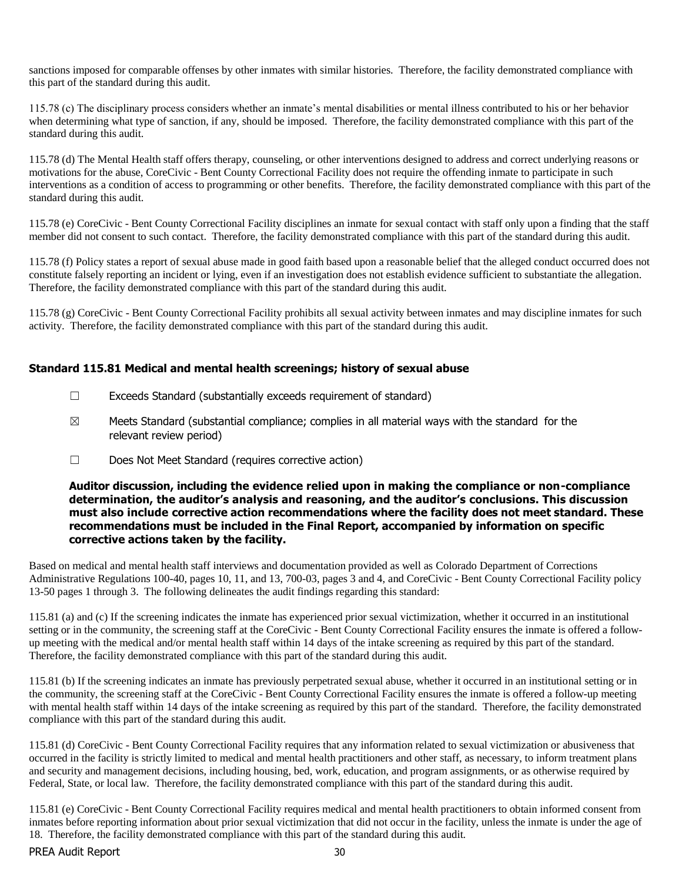sanctions imposed for comparable offenses by other inmates with similar histories. Therefore, the facility demonstrated compliance with this part of the standard during this audit.

115.78 (c) The disciplinary process considers whether an inmate's mental disabilities or mental illness contributed to his or her behavior when determining what type of sanction, if any, should be imposed. Therefore, the facility demonstrated compliance with this part of the standard during this audit.

115.78 (d) The Mental Health staff offers therapy, counseling, or other interventions designed to address and correct underlying reasons or motivations for the abuse, CoreCivic - Bent County Correctional Facility does not require the offending inmate to participate in such interventions as a condition of access to programming or other benefits. Therefore, the facility demonstrated compliance with this part of the standard during this audit.

115.78 (e) CoreCivic - Bent County Correctional Facility disciplines an inmate for sexual contact with staff only upon a finding that the staff member did not consent to such contact. Therefore, the facility demonstrated compliance with this part of the standard during this audit.

115.78 (f) Policy states a report of sexual abuse made in good faith based upon a reasonable belief that the alleged conduct occurred does not constitute falsely reporting an incident or lying, even if an investigation does not establish evidence sufficient to substantiate the allegation. Therefore, the facility demonstrated compliance with this part of the standard during this audit.

115.78 (g) CoreCivic - Bent County Correctional Facility prohibits all sexual activity between inmates and may discipline inmates for such activity. Therefore, the facility demonstrated compliance with this part of the standard during this audit.

# **Standard 115.81 Medical and mental health screenings; history of sexual abuse**

- $\Box$  Exceeds Standard (substantially exceeds requirement of standard)
- $\boxtimes$  Meets Standard (substantial compliance; complies in all material ways with the standard for the relevant review period)
- ☐ Does Not Meet Standard (requires corrective action)

#### **Auditor discussion, including the evidence relied upon in making the compliance or non-compliance determination, the auditor's analysis and reasoning, and the auditor's conclusions. This discussion must also include corrective action recommendations where the facility does not meet standard. These recommendations must be included in the Final Report, accompanied by information on specific corrective actions taken by the facility.**

Based on medical and mental health staff interviews and documentation provided as well as Colorado Department of Corrections Administrative Regulations 100-40, pages 10, 11, and 13, 700-03, pages 3 and 4, and CoreCivic - Bent County Correctional Facility policy 13-50 pages 1 through 3. The following delineates the audit findings regarding this standard:

115.81 (a) and (c) If the screening indicates the inmate has experienced prior sexual victimization, whether it occurred in an institutional setting or in the community, the screening staff at the CoreCivic - Bent County Correctional Facility ensures the inmate is offered a followup meeting with the medical and/or mental health staff within 14 days of the intake screening as required by this part of the standard. Therefore, the facility demonstrated compliance with this part of the standard during this audit.

115.81 (b) If the screening indicates an inmate has previously perpetrated sexual abuse, whether it occurred in an institutional setting or in the community, the screening staff at the CoreCivic - Bent County Correctional Facility ensures the inmate is offered a follow-up meeting with mental health staff within 14 days of the intake screening as required by this part of the standard. Therefore, the facility demonstrated compliance with this part of the standard during this audit.

115.81 (d) CoreCivic - Bent County Correctional Facility requires that any information related to sexual victimization or abusiveness that occurred in the facility is strictly limited to medical and mental health practitioners and other staff, as necessary, to inform treatment plans and security and management decisions, including housing, bed, work, education, and program assignments, or as otherwise required by Federal, State, or local law. Therefore, the facility demonstrated compliance with this part of the standard during this audit.

115.81 (e) CoreCivic - Bent County Correctional Facility requires medical and mental health practitioners to obtain informed consent from inmates before reporting information about prior sexual victimization that did not occur in the facility, unless the inmate is under the age of 18. Therefore, the facility demonstrated compliance with this part of the standard during this audit.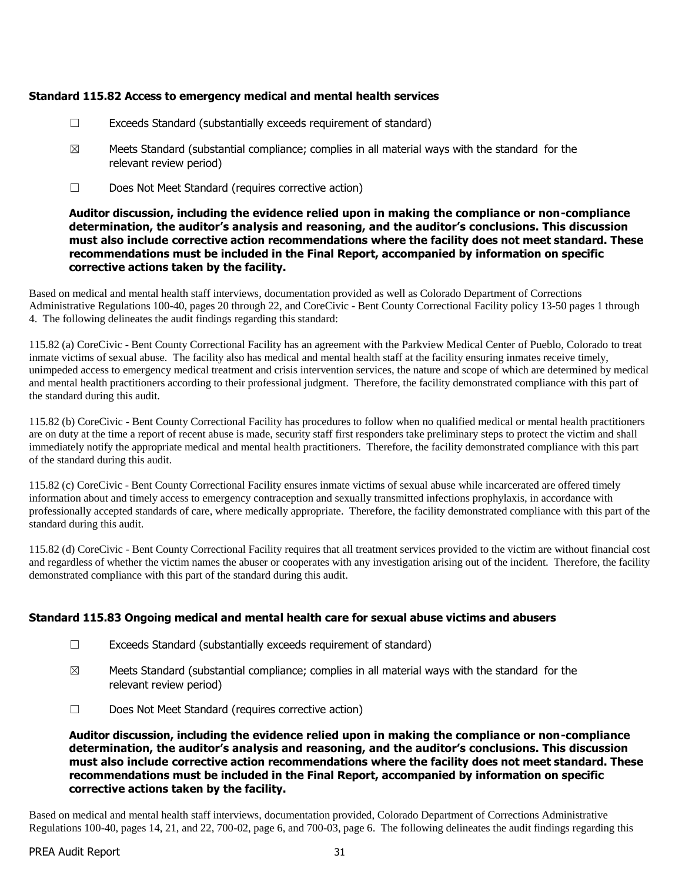# **Standard 115.82 Access to emergency medical and mental health services**

- $\Box$  Exceeds Standard (substantially exceeds requirement of standard)
- $\boxtimes$  Meets Standard (substantial compliance; complies in all material ways with the standard for the relevant review period)
- ☐ Does Not Meet Standard (requires corrective action)

# **Auditor discussion, including the evidence relied upon in making the compliance or non-compliance determination, the auditor's analysis and reasoning, and the auditor's conclusions. This discussion must also include corrective action recommendations where the facility does not meet standard. These recommendations must be included in the Final Report, accompanied by information on specific corrective actions taken by the facility.**

Based on medical and mental health staff interviews, documentation provided as well as Colorado Department of Corrections Administrative Regulations 100-40, pages 20 through 22, and CoreCivic - Bent County Correctional Facility policy 13-50 pages 1 through 4. The following delineates the audit findings regarding this standard:

115.82 (a) CoreCivic - Bent County Correctional Facility has an agreement with the Parkview Medical Center of Pueblo, Colorado to treat inmate victims of sexual abuse. The facility also has medical and mental health staff at the facility ensuring inmates receive timely, unimpeded access to emergency medical treatment and crisis intervention services, the nature and scope of which are determined by medical and mental health practitioners according to their professional judgment. Therefore, the facility demonstrated compliance with this part of the standard during this audit.

115.82 (b) CoreCivic - Bent County Correctional Facility has procedures to follow when no qualified medical or mental health practitioners are on duty at the time a report of recent abuse is made, security staff first responders take preliminary steps to protect the victim and shall immediately notify the appropriate medical and mental health practitioners. Therefore, the facility demonstrated compliance with this part of the standard during this audit.

115.82 (c) CoreCivic - Bent County Correctional Facility ensures inmate victims of sexual abuse while incarcerated are offered timely information about and timely access to emergency contraception and sexually transmitted infections prophylaxis, in accordance with professionally accepted standards of care, where medically appropriate. Therefore, the facility demonstrated compliance with this part of the standard during this audit.

115.82 (d) CoreCivic - Bent County Correctional Facility requires that all treatment services provided to the victim are without financial cost and regardless of whether the victim names the abuser or cooperates with any investigation arising out of the incident. Therefore, the facility demonstrated compliance with this part of the standard during this audit.

# **Standard 115.83 Ongoing medical and mental health care for sexual abuse victims and abusers**

- $\Box$  Exceeds Standard (substantially exceeds requirement of standard)
- $\boxtimes$  Meets Standard (substantial compliance; complies in all material ways with the standard for the relevant review period)
- ☐ Does Not Meet Standard (requires corrective action)

**Auditor discussion, including the evidence relied upon in making the compliance or non-compliance determination, the auditor's analysis and reasoning, and the auditor's conclusions. This discussion must also include corrective action recommendations where the facility does not meet standard. These recommendations must be included in the Final Report, accompanied by information on specific corrective actions taken by the facility.**

Based on medical and mental health staff interviews, documentation provided, Colorado Department of Corrections Administrative Regulations 100-40, pages 14, 21, and 22, 700-02, page 6, and 700-03, page 6. The following delineates the audit findings regarding this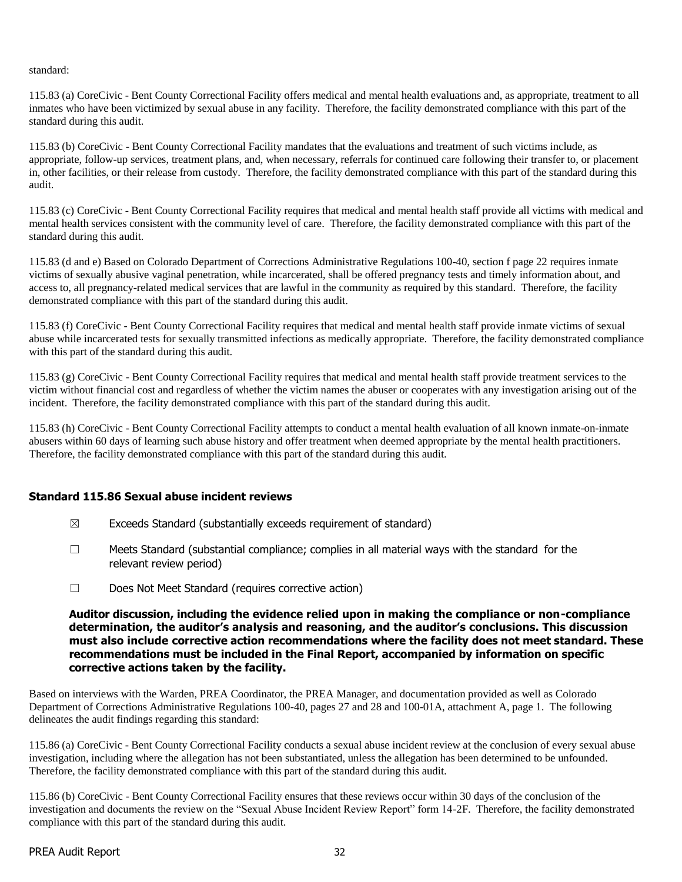standard:

115.83 (a) CoreCivic - Bent County Correctional Facility offers medical and mental health evaluations and, as appropriate, treatment to all inmates who have been victimized by sexual abuse in any facility. Therefore, the facility demonstrated compliance with this part of the standard during this audit.

115.83 (b) CoreCivic - Bent County Correctional Facility mandates that the evaluations and treatment of such victims include, as appropriate, follow-up services, treatment plans, and, when necessary, referrals for continued care following their transfer to, or placement in, other facilities, or their release from custody. Therefore, the facility demonstrated compliance with this part of the standard during this audit.

115.83 (c) CoreCivic - Bent County Correctional Facility requires that medical and mental health staff provide all victims with medical and mental health services consistent with the community level of care. Therefore, the facility demonstrated compliance with this part of the standard during this audit.

115.83 (d and e) Based on Colorado Department of Corrections Administrative Regulations 100-40, section f page 22 requires inmate victims of sexually abusive vaginal penetration, while incarcerated, shall be offered pregnancy tests and timely information about, and access to, all pregnancy-related medical services that are lawful in the community as required by this standard. Therefore, the facility demonstrated compliance with this part of the standard during this audit.

115.83 (f) CoreCivic - Bent County Correctional Facility requires that medical and mental health staff provide inmate victims of sexual abuse while incarcerated tests for sexually transmitted infections as medically appropriate. Therefore, the facility demonstrated compliance with this part of the standard during this audit.

115.83 (g) CoreCivic - Bent County Correctional Facility requires that medical and mental health staff provide treatment services to the victim without financial cost and regardless of whether the victim names the abuser or cooperates with any investigation arising out of the incident. Therefore, the facility demonstrated compliance with this part of the standard during this audit.

115.83 (h) CoreCivic - Bent County Correctional Facility attempts to conduct a mental health evaluation of all known inmate-on-inmate abusers within 60 days of learning such abuse history and offer treatment when deemed appropriate by the mental health practitioners. Therefore, the facility demonstrated compliance with this part of the standard during this audit.

# **Standard 115.86 Sexual abuse incident reviews**

- $\boxtimes$  Exceeds Standard (substantially exceeds requirement of standard)
- $\Box$  Meets Standard (substantial compliance; complies in all material ways with the standard for the relevant review period)
- ☐ Does Not Meet Standard (requires corrective action)

**Auditor discussion, including the evidence relied upon in making the compliance or non-compliance determination, the auditor's analysis and reasoning, and the auditor's conclusions. This discussion must also include corrective action recommendations where the facility does not meet standard. These recommendations must be included in the Final Report, accompanied by information on specific corrective actions taken by the facility.**

Based on interviews with the Warden, PREA Coordinator, the PREA Manager, and documentation provided as well as Colorado Department of Corrections Administrative Regulations 100-40, pages 27 and 28 and 100-01A, attachment A, page 1. The following delineates the audit findings regarding this standard:

115.86 (a) CoreCivic - Bent County Correctional Facility conducts a sexual abuse incident review at the conclusion of every sexual abuse investigation, including where the allegation has not been substantiated, unless the allegation has been determined to be unfounded. Therefore, the facility demonstrated compliance with this part of the standard during this audit.

115.86 (b) CoreCivic - Bent County Correctional Facility ensures that these reviews occur within 30 days of the conclusion of the investigation and documents the review on the "Sexual Abuse Incident Review Report" form 14-2F. Therefore, the facility demonstrated compliance with this part of the standard during this audit.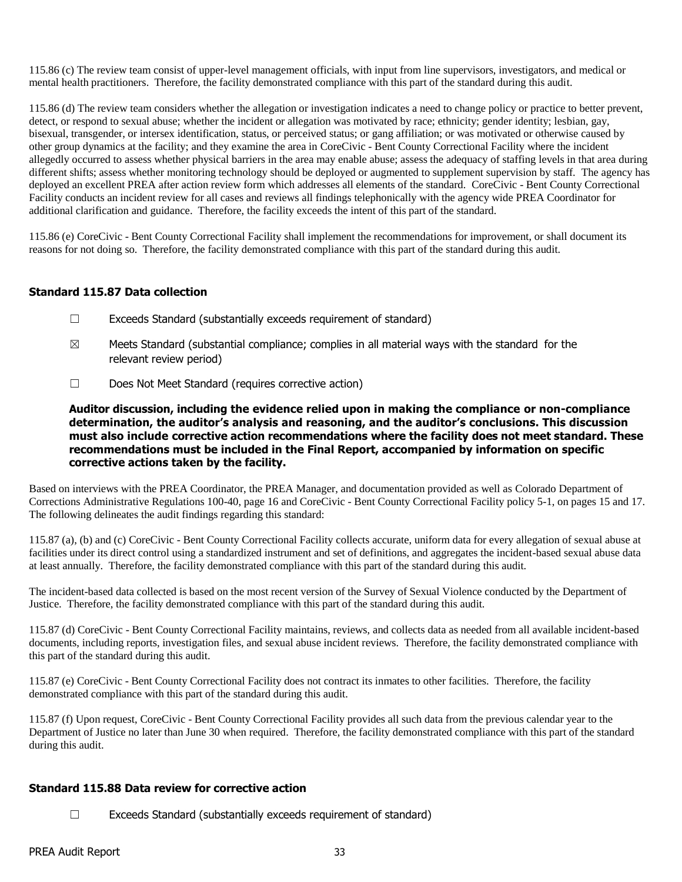115.86 (c) The review team consist of upper-level management officials, with input from line supervisors, investigators, and medical or mental health practitioners. Therefore, the facility demonstrated compliance with this part of the standard during this audit.

115.86 (d) The review team considers whether the allegation or investigation indicates a need to change policy or practice to better prevent, detect, or respond to sexual abuse; whether the incident or allegation was motivated by race; ethnicity; gender identity; lesbian, gay, bisexual, transgender, or intersex identification, status, or perceived status; or gang affiliation; or was motivated or otherwise caused by other group dynamics at the facility; and they examine the area in CoreCivic - Bent County Correctional Facility where the incident allegedly occurred to assess whether physical barriers in the area may enable abuse; assess the adequacy of staffing levels in that area during different shifts; assess whether monitoring technology should be deployed or augmented to supplement supervision by staff. The agency has deployed an excellent PREA after action review form which addresses all elements of the standard. CoreCivic - Bent County Correctional Facility conducts an incident review for all cases and reviews all findings telephonically with the agency wide PREA Coordinator for additional clarification and guidance. Therefore, the facility exceeds the intent of this part of the standard.

115.86 (e) CoreCivic - Bent County Correctional Facility shall implement the recommendations for improvement, or shall document its reasons for not doing so. Therefore, the facility demonstrated compliance with this part of the standard during this audit.

# **Standard 115.87 Data collection**

- $\Box$  Exceeds Standard (substantially exceeds requirement of standard)
- $\boxtimes$  Meets Standard (substantial compliance; complies in all material ways with the standard for the relevant review period)
- ☐ Does Not Meet Standard (requires corrective action)

**Auditor discussion, including the evidence relied upon in making the compliance or non-compliance determination, the auditor's analysis and reasoning, and the auditor's conclusions. This discussion must also include corrective action recommendations where the facility does not meet standard. These recommendations must be included in the Final Report, accompanied by information on specific corrective actions taken by the facility.**

Based on interviews with the PREA Coordinator, the PREA Manager, and documentation provided as well as Colorado Department of Corrections Administrative Regulations 100-40, page 16 and CoreCivic - Bent County Correctional Facility policy 5-1, on pages 15 and 17. The following delineates the audit findings regarding this standard:

115.87 (a), (b) and (c) CoreCivic - Bent County Correctional Facility collects accurate, uniform data for every allegation of sexual abuse at facilities under its direct control using a standardized instrument and set of definitions, and aggregates the incident-based sexual abuse data at least annually. Therefore, the facility demonstrated compliance with this part of the standard during this audit.

The incident-based data collected is based on the most recent version of the Survey of Sexual Violence conducted by the Department of Justice. Therefore, the facility demonstrated compliance with this part of the standard during this audit.

115.87 (d) CoreCivic - Bent County Correctional Facility maintains, reviews, and collects data as needed from all available incident-based documents, including reports, investigation files, and sexual abuse incident reviews. Therefore, the facility demonstrated compliance with this part of the standard during this audit.

115.87 (e) CoreCivic - Bent County Correctional Facility does not contract its inmates to other facilities. Therefore, the facility demonstrated compliance with this part of the standard during this audit.

115.87 (f) Upon request, CoreCivic - Bent County Correctional Facility provides all such data from the previous calendar year to the Department of Justice no later than June 30 when required. Therefore, the facility demonstrated compliance with this part of the standard during this audit.

# **Standard 115.88 Data review for corrective action**

 $\Box$  Exceeds Standard (substantially exceeds requirement of standard)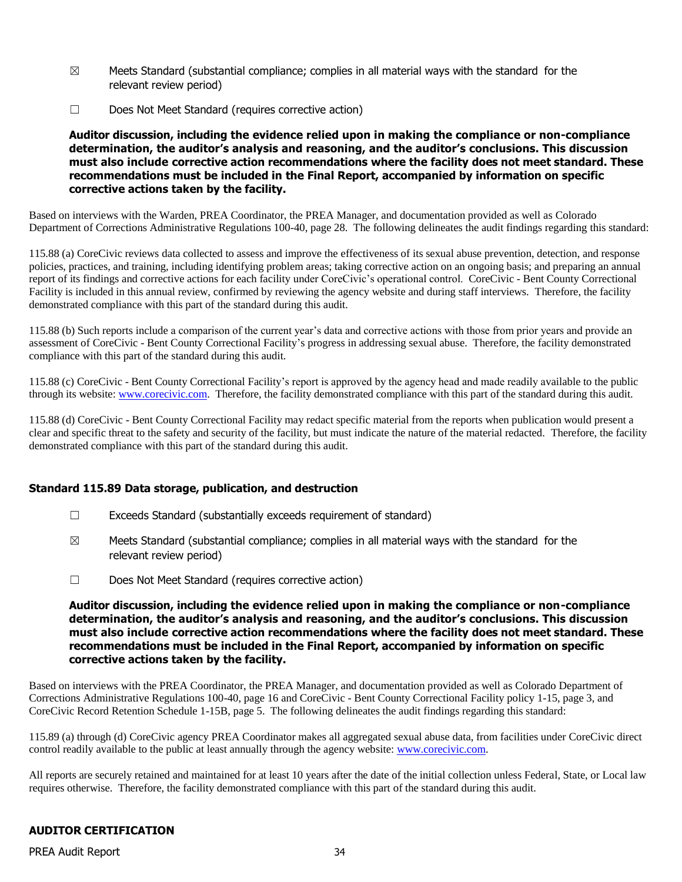- $\boxtimes$  Meets Standard (substantial compliance; complies in all material ways with the standard for the relevant review period)
- ☐ Does Not Meet Standard (requires corrective action)

#### **Auditor discussion, including the evidence relied upon in making the compliance or non-compliance determination, the auditor's analysis and reasoning, and the auditor's conclusions. This discussion must also include corrective action recommendations where the facility does not meet standard. These recommendations must be included in the Final Report, accompanied by information on specific corrective actions taken by the facility.**

Based on interviews with the Warden, PREA Coordinator, the PREA Manager, and documentation provided as well as Colorado Department of Corrections Administrative Regulations 100-40, page 28. The following delineates the audit findings regarding this standard:

115.88 (a) CoreCivic reviews data collected to assess and improve the effectiveness of its sexual abuse prevention, detection, and response policies, practices, and training, including identifying problem areas; taking corrective action on an ongoing basis; and preparing an annual report of its findings and corrective actions for each facility under CoreCivic's operational control. CoreCivic - Bent County Correctional Facility is included in this annual review, confirmed by reviewing the agency website and during staff interviews. Therefore, the facility demonstrated compliance with this part of the standard during this audit.

115.88 (b) Such reports include a comparison of the current year's data and corrective actions with those from prior years and provide an assessment of CoreCivic - Bent County Correctional Facility's progress in addressing sexual abuse. Therefore, the facility demonstrated compliance with this part of the standard during this audit.

115.88 (c) CoreCivic - Bent County Correctional Facility's report is approved by the agency head and made readily available to the public through its website: [www.corecivic.com.](http://www.corecivic.com/) Therefore, the facility demonstrated compliance with this part of the standard during this audit.

115.88 (d) CoreCivic - Bent County Correctional Facility may redact specific material from the reports when publication would present a clear and specific threat to the safety and security of the facility, but must indicate the nature of the material redacted. Therefore, the facility demonstrated compliance with this part of the standard during this audit.

# **Standard 115.89 Data storage, publication, and destruction**

- $\Box$  Exceeds Standard (substantially exceeds requirement of standard)
- $\boxtimes$  Meets Standard (substantial compliance; complies in all material ways with the standard for the relevant review period)
- ☐ Does Not Meet Standard (requires corrective action)

#### **Auditor discussion, including the evidence relied upon in making the compliance or non-compliance determination, the auditor's analysis and reasoning, and the auditor's conclusions. This discussion must also include corrective action recommendations where the facility does not meet standard. These recommendations must be included in the Final Report, accompanied by information on specific corrective actions taken by the facility.**

Based on interviews with the PREA Coordinator, the PREA Manager, and documentation provided as well as Colorado Department of Corrections Administrative Regulations 100-40, page 16 and CoreCivic - Bent County Correctional Facility policy 1-15, page 3, and CoreCivic Record Retention Schedule 1-15B, page 5. The following delineates the audit findings regarding this standard:

115.89 (a) through (d) CoreCivic agency PREA Coordinator makes all aggregated sexual abuse data, from facilities under CoreCivic direct control readily available to the public at least annually through the agency website: [www.corecivic.com.](http://www.corecivic.com/)

All reports are securely retained and maintained for at least 10 years after the date of the initial collection unless Federal, State, or Local law requires otherwise. Therefore, the facility demonstrated compliance with this part of the standard during this audit.

# **AUDITOR CERTIFICATION**

PREA Audit Report 34